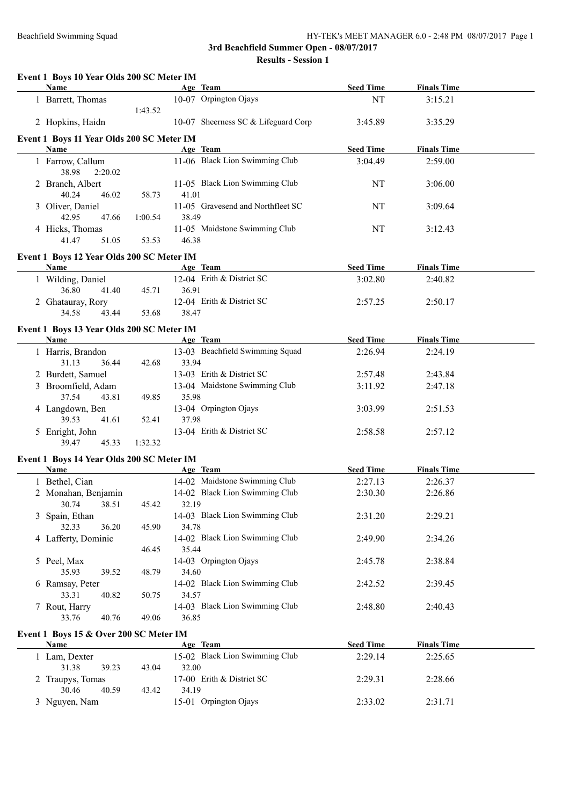**Results - Session 1**

| Event 1 Boys 10 Year Olds 200 SC Meter IM<br>Name |         | Age Team                                | <b>Seed Time</b> | <b>Finals Time</b> |  |
|---------------------------------------------------|---------|-----------------------------------------|------------------|--------------------|--|
| 1 Barrett, Thomas                                 |         | 10-07 Orpington Ojays                   | NT               | 3:15.21            |  |
|                                                   | 1:43.52 |                                         |                  |                    |  |
| 2 Hopkins, Haidn                                  |         | 10-07 Sheerness SC & Lifeguard Corp     | 3:45.89          | 3:35.29            |  |
| Event 1 Boys 11 Year Olds 200 SC Meter IM         |         |                                         |                  |                    |  |
| Name                                              |         | Age Team                                | <b>Seed Time</b> | <b>Finals Time</b> |  |
| 1 Farrow, Callum                                  |         | 11-06 Black Lion Swimming Club          | 3:04.49          | 2:59.00            |  |
| 38.98<br>2:20.02                                  |         |                                         |                  |                    |  |
| 2 Branch, Albert                                  |         | 11-05 Black Lion Swimming Club          | NT               | 3:06.00            |  |
| 40.24<br>46.02                                    | 58.73   | 41.01                                   |                  |                    |  |
| 3 Oliver, Daniel                                  |         | 11-05 Gravesend and Northfleet SC       | NT               | 3:09.64            |  |
| 42.95<br>47.66                                    | 1:00.54 | 38.49                                   |                  |                    |  |
| 4 Hicks, Thomas                                   |         | 11-05 Maidstone Swimming Club           | NT               | 3:12.43            |  |
| 41.47<br>51.05                                    | 53.53   | 46.38                                   |                  |                    |  |
| Event 1 Boys 12 Year Olds 200 SC Meter IM         |         |                                         |                  |                    |  |
| <b>Name</b>                                       |         | Age Team                                | <b>Seed Time</b> | <b>Finals Time</b> |  |
| 1 Wilding, Daniel                                 |         | 12-04 Erith & District SC               | 3:02.80          | 2:40.82            |  |
| 36.80<br>41.40                                    | 45.71   | 36.91                                   |                  |                    |  |
| 2 Ghatauray, Rory                                 |         | 12-04 Erith & District SC               | 2:57.25          | 2:50.17            |  |
| 34.58<br>43.44                                    | 53.68   | 38.47                                   |                  |                    |  |
| Event 1 Boys 13 Year Olds 200 SC Meter IM         |         |                                         |                  |                    |  |
| Name                                              |         | Age Team                                | <b>Seed Time</b> | <b>Finals Time</b> |  |
| 1 Harris, Brandon                                 |         | 13-03 Beachfield Swimming Squad         | 2:26.94          | 2:24.19            |  |
| 31.13<br>36.44                                    | 42.68   | 33.94                                   |                  |                    |  |
| 2 Burdett, Samuel                                 |         | 13-03 Erith & District SC               | 2:57.48          | 2:43.84            |  |
| 3 Broomfield, Adam                                |         | 13-04 Maidstone Swimming Club           | 3:11.92          | 2:47.18            |  |
| 37.54<br>43.81                                    | 49.85   | 35.98                                   |                  |                    |  |
| 4 Langdown, Ben                                   |         | 13-04 Orpington Ojays                   | 3:03.99          | 2:51.53            |  |
| 39.53<br>41.61                                    | 52.41   | 37.98                                   |                  |                    |  |
| 5 Enright, John                                   |         | 13-04 Erith & District SC               | 2:58.58          | 2:57.12            |  |
| 39.47<br>45.33                                    | 1:32.32 |                                         |                  |                    |  |
| Event 1 Boys 14 Year Olds 200 SC Meter IM         |         |                                         |                  |                    |  |
| Name                                              |         | Age Team                                | <b>Seed Time</b> | <b>Finals Time</b> |  |
| 1 Bethel, Cian                                    |         | 14-02 Maidstone Swimming Club           | 2:27.13          | 2:26.37            |  |
| 2 Monahan, Benjamin                               |         | 14-02 Black Lion Swimming Club          | 2:30.30          | 2:26.86            |  |
| 30.74<br>38.51                                    | 45.42   | 32.19                                   |                  |                    |  |
| 3 Spain, Ethan                                    |         | 14-03 Black Lion Swimming Club          | 2:31.20          | 2:29.21            |  |
| 32.33<br>36.20                                    | 45.90   | 34.78                                   |                  |                    |  |
| 4 Lafferty, Dominic                               |         | 14-02 Black Lion Swimming Club          | 2:49.90          | 2:34.26            |  |
|                                                   | 46.45   | 35.44                                   |                  |                    |  |
| 5 Peel, Max                                       |         | 14-03 Orpington Ojays                   | 2:45.78          | 2:38.84            |  |
| 35.93<br>39.52                                    | 48.79   | 34.60                                   |                  |                    |  |
| 6 Ramsay, Peter                                   |         | 14-02 Black Lion Swimming Club<br>34.57 | 2:42.52          | 2:39.45            |  |
| 33.31<br>40.82<br>7 Rout, Harry                   | 50.75   | 14-03 Black Lion Swimming Club          | 2:48.80          | 2:40.43            |  |
| 40.76<br>33.76                                    | 49.06   | 36.85                                   |                  |                    |  |
|                                                   |         |                                         |                  |                    |  |
| Event 1 Boys 15 & Over 200 SC Meter IM            |         |                                         |                  |                    |  |
| <b>Name</b>                                       |         | Age Team                                | <b>Seed Time</b> | <b>Finals Time</b> |  |
| 1 Lam, Dexter                                     |         | 15-02 Black Lion Swimming Club          | 2:29.14          | 2:25.65            |  |
| 31.38<br>39.23                                    | 43.04   | 32.00                                   |                  |                    |  |
| 2 Traupys, Tomas                                  |         | 17-00 Erith & District SC<br>34.19      | 2:29.31          | 2:28.66            |  |
| 30.46<br>40.59                                    | 43.42   | 15-01 Orpington Ojays                   |                  |                    |  |
| 3 Nguyen, Nam                                     |         |                                         | 2:33.02          | 2:31.71            |  |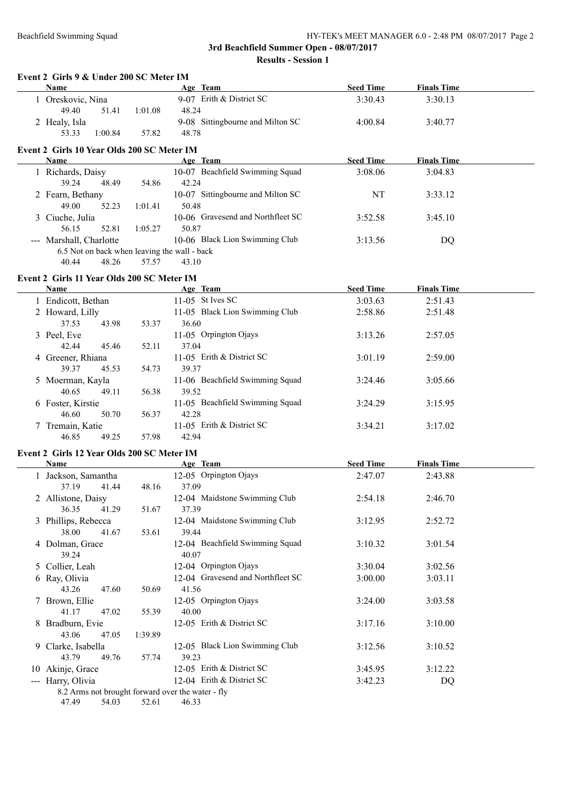#### Beachfield Swimming Squad HY-TEK's MEET MANAGER 6.0 - 2:48 PM 08/07/2017 Page 2

**3rd Beachfield Summer Open - 08/07/2017**

**Results - Session 1**

| Event 2 Girls 9 & Under 200 SC Meter IM<br>Name                        |         | Age Team                                   | <b>Seed Time</b> | <b>Finals Time</b> |  |
|------------------------------------------------------------------------|---------|--------------------------------------------|------------------|--------------------|--|
| 1 Oreskovic, Nina                                                      |         | 9-07 Erith & District SC                   | 3:30.43          | 3:30.13            |  |
| 49.40<br>51.41                                                         | 1:01.08 | 48.24                                      |                  |                    |  |
| 2 Healy, Isla                                                          |         | 9-08 Sittingbourne and Milton SC           | 4:00.84          | 3:40.77            |  |
| 1:00.84<br>53.33                                                       | 57.82   | 48.78                                      |                  |                    |  |
|                                                                        |         |                                            |                  |                    |  |
| Event 2 Girls 10 Year Olds 200 SC Meter IM<br>Name                     |         | Age Team                                   | <b>Seed Time</b> | <b>Finals Time</b> |  |
|                                                                        |         | 10-07 Beachfield Swimming Squad            |                  |                    |  |
| 1 Richards, Daisy                                                      |         |                                            | 3:08.06          | 3:04.83            |  |
| 39.24<br>48.49                                                         | 54.86   | 42.24                                      |                  |                    |  |
| 2 Fearn, Bethany                                                       |         | 10-07 Sittingbourne and Milton SC<br>50.48 | NT               | 3:33.12            |  |
| 49.00<br>52.23                                                         | 1:01.41 |                                            |                  |                    |  |
| 3 Ciuche, Julia                                                        |         | 10-06 Gravesend and Northfleet SC          | 3:52.58          | 3:45.10            |  |
| 56.15<br>52.81                                                         | 1:05.27 | 50.87                                      |                  |                    |  |
| --- Marshall, Charlotte                                                |         | 10-06 Black Lion Swimming Club             | 3:13.56          | DQ                 |  |
| 6.5 Not on back when leaving the wall - back                           |         |                                            |                  |                    |  |
| 48.26<br>40.44                                                         | 57.57   | 43.10                                      |                  |                    |  |
| Event 2 Girls 11 Year Olds 200 SC Meter IM                             |         |                                            |                  |                    |  |
| <b>Name</b>                                                            |         | <b>Example 2</b> Age Team                  | <b>Seed Time</b> | <b>Finals Time</b> |  |
| 1 Endicott, Bethan                                                     |         | 11-05 St Ives SC                           | 3:03.63          | 2:51.43            |  |
| 2 Howard, Lilly                                                        |         | 11-05 Black Lion Swimming Club             | 2:58.86          | 2:51.48            |  |
| 37.53<br>43.98                                                         | 53.37   | 36.60                                      |                  |                    |  |
| 3 Peel, Eve                                                            |         | 11-05 Orpington Ojays                      | 3:13.26          | 2:57.05            |  |
| 42.44<br>45.46                                                         | 52.11   | 37.04                                      |                  |                    |  |
| 4 Greener, Rhiana                                                      |         | 11-05 Erith & District SC                  | 3:01.19          | 2:59.00            |  |
| 39.37<br>45.53                                                         | 54.73   | 39.37                                      |                  |                    |  |
| 5 Moerman, Kayla                                                       |         | 11-06 Beachfield Swimming Squad            | 3:24.46          | 3:05.66            |  |
| 40.65<br>49.11                                                         | 56.38   | 39.52                                      |                  |                    |  |
| 6 Foster, Kirstie                                                      |         | 11-05 Beachfield Swimming Squad            | 3:24.29          | 3:15.95            |  |
| 46.60<br>50.70                                                         | 56.37   | 42.28                                      |                  |                    |  |
| 7 Tremain, Katie                                                       |         | 11-05 Erith & District SC                  | 3:34.21          | 3:17.02            |  |
| 46.85<br>49.25                                                         | 57.98   | 42.94                                      |                  |                    |  |
|                                                                        |         |                                            |                  |                    |  |
| Event 2 Girls 12 Year Olds 200 SC Meter IM<br><b>Name</b>              |         | Age Team                                   | <b>Seed Time</b> | <b>Finals Time</b> |  |
|                                                                        |         | 12-05 Orpington Ojays                      |                  |                    |  |
| 1 Jackson, Samantha                                                    |         |                                            | 2:47.07          | 2:43.88            |  |
| 37.19<br>41.44                                                         | 48.16   | 37.09                                      |                  |                    |  |
| 2 Allistone, Daisy                                                     |         | 12-04 Maidstone Swimming Club              | 2:54.18          | 2:46.70            |  |
| 41.29<br>36.35                                                         | 51.67   | 37.39                                      |                  |                    |  |
| 3 Phillips, Rebecca                                                    |         | 12-04 Maidstone Swimming Club              | 3:12.95          | 2:52.72            |  |
| 38.00<br>41.67                                                         | 53.61   | 39.44                                      |                  |                    |  |
| 4 Dolman, Grace                                                        |         | 12-04 Beachfield Swimming Squad            | 3:10.32          | 3:01.54            |  |
| 39.24                                                                  |         | 40.07                                      |                  |                    |  |
| 5 Collier, Leah                                                        |         | 12-04 Orpington Ojays                      | 3:30.04          | 3:02.56            |  |
| 6 Ray, Olivia                                                          |         | 12-04 Gravesend and Northfleet SC          | 3:00.00          | 3:03.11            |  |
| 43.26<br>47.60                                                         | 50.69   | 41.56                                      |                  |                    |  |
| 7 Brown, Ellie                                                         |         | 12-05 Orpington Ojays                      | 3:24.00          | 3:03.58            |  |
| 41.17<br>47.02                                                         | 55.39   | 40.00                                      |                  |                    |  |
| 8 Bradburn, Evie                                                       |         | 12-05 Erith & District SC                  | 3:17.16          | 3:10.00            |  |
| 43.06<br>47.05                                                         | 1:39.89 |                                            |                  |                    |  |
| 9 Clarke, Isabella                                                     |         | 12-05 Black Lion Swimming Club             | 3:12.56          | 3:10.52            |  |
| 43.79<br>49.76                                                         | 57.74   | 39.23                                      |                  |                    |  |
| 10 Akinje, Grace                                                       |         | 12-05 Erith & District SC                  | 3:45.95          | 3:12.22            |  |
|                                                                        |         |                                            |                  |                    |  |
| --- Harry, Olivia<br>8.2 Arms not brought forward over the water - fly |         | 12-04 Erith & District SC                  | 3:42.23          | DQ                 |  |

47.49 54.03 52.61 46.33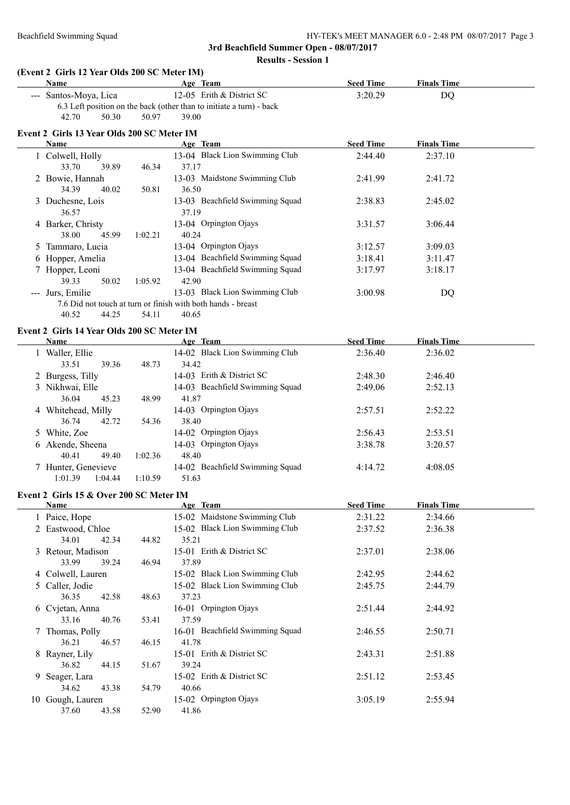**Results - Session 1**

#### **(Event 2 Girls 12 Year Olds 200 SC Meter IM)**

| <b>Name</b>           |       |       | Age Team |                                                                      | <b>Seed Time</b> | <b>Finals Time</b> |
|-----------------------|-------|-------|----------|----------------------------------------------------------------------|------------------|--------------------|
| --- Santos-Moya, Lica |       |       |          | 12-05 Erith $&$ District SC                                          | 3:20.29          | DO.                |
|                       |       |       |          | 6.3 Left position on the back (other than to initiate a turn) - back |                  |                    |
| 42.70                 | 50.30 | 50.97 | 39.00    |                                                                      |                  |                    |

### **Event 2 Girls 13 Year Olds 200 SC Meter IM**

| <b>Name</b>       |       |         | Age Team                                                     | <b>Seed Time</b> | <b>Finals Time</b> |  |
|-------------------|-------|---------|--------------------------------------------------------------|------------------|--------------------|--|
| 1 Colwell, Holly  |       |         | 13-04 Black Lion Swimming Club                               | 2:44.40          | 2:37.10            |  |
| 33.70             | 39.89 | 46.34   | 37.17                                                        |                  |                    |  |
| 2 Bowie, Hannah   |       |         | 13-03 Maidstone Swimming Club                                | 2:41.99          | 2:41.72            |  |
| 34.39             | 40.02 | 50.81   | 36.50                                                        |                  |                    |  |
| 3 Duchesne, Lois  |       |         | 13-03 Beachfield Swimming Squad                              | 2:38.83          | 2:45.02            |  |
| 36.57             |       |         | 37.19                                                        |                  |                    |  |
| 4 Barker, Christy |       |         | 13-04 Orpington Ojays                                        | 3:31.57          | 3:06.44            |  |
| 38.00             | 45.99 | 1:02.21 | 40.24                                                        |                  |                    |  |
| 5 Tammaro, Lucia  |       |         | 13-04 Orpington Ojays                                        | 3:12.57          | 3:09.03            |  |
| 6 Hopper, Amelia  |       |         | 13-04 Beachfield Swimming Squad                              | 3:18.41          | 3:11.47            |  |
| 7 Hopper, Leoni   |       |         | 13-04 Beachfield Swimming Squad                              | 3:17.97          | 3:18.17            |  |
| 39.33             | 50.02 | 1:05.92 | 42.90                                                        |                  |                    |  |
| --- Jurs, Emilie  |       |         | 13-03 Black Lion Swimming Club                               | 3:00.98          | DQ                 |  |
|                   |       |         | 7.6 Did not touch at turn or finish with both hands - breast |                  |                    |  |
| 40.52             | 44.25 | 54.11   | 40.65                                                        |                  |                    |  |

# **Event 2 Girls 14 Year Olds 200 SC Meter IM**

| <b>Name</b>         |         | Age Team                        | <b>Seed Time</b> | <b>Finals Time</b> |
|---------------------|---------|---------------------------------|------------------|--------------------|
| Waller, Ellie       |         | 14-02 Black Lion Swimming Club  | 2:36.40          | 2:36.02            |
| 39.36<br>33.51      | 48.73   | 34.42                           |                  |                    |
| 2 Burgess, Tilly    |         | 14-03 Erith & District SC       | 2:48.30          | 2:46.40            |
| 3 Nikhwai, Elle     |         | 14-03 Beachfield Swimming Squad | 2:49.06          | 2:52.13            |
| 36.04<br>45.23      | 48.99   | 41.87                           |                  |                    |
| 4 Whitehead, Milly  |         | 14-03 Orpington Ojays           | 2:57.51          | 2:52.22            |
| 36.74<br>42.72      | 54.36   | 38.40                           |                  |                    |
| 5 White, Zoe        |         | 14-02 Orpington Ojays           | 2:56.43          | 2:53.51            |
| 6 Akende, Sheena    |         | 14-03 Orpington Ojays           | 3:38.78          | 3:20.57            |
| 49.40<br>40.41      | 1:02.36 | 48.40                           |                  |                    |
| 7 Hunter, Genevieve |         | 14-02 Beachfield Swimming Squad | 4:14.72          | 4:08.05            |
| 1:04.44<br>1:01.39  | 1:10.59 | 51.63                           |                  |                    |

#### **Event 2 Girls 15 & Over 200 SC Meter IM**

| Name              |       |       | Age Team                        | <b>Seed Time</b> | <b>Finals Time</b> |  |
|-------------------|-------|-------|---------------------------------|------------------|--------------------|--|
| 1 Paice, Hope     |       |       | 15-02 Maidstone Swimming Club   | 2:31.22          | 2:34.66            |  |
| 2 Eastwood, Chloe |       |       | 15-02 Black Lion Swimming Club  | 2:37.52          | 2:36.38            |  |
| 34.01             | 42.34 | 44.82 | 35.21                           |                  |                    |  |
| 3 Retour, Madison |       |       | 15-01 Erith & District SC       | 2:37.01          | 2:38.06            |  |
| 33.99             | 39.24 | 46.94 | 37.89                           |                  |                    |  |
| 4 Colwell, Lauren |       |       | 15-02 Black Lion Swimming Club  | 2:42.95          | 2:44.62            |  |
| 5 Caller, Jodie   |       |       | 15-02 Black Lion Swimming Club  | 2:45.75          | 2:44.79            |  |
| 36.35             | 42.58 | 48.63 | 37.23                           |                  |                    |  |
| 6 Cvjetan, Anna   |       |       | 16-01 Orpington Ojays           | 2:51.44          | 2:44.92            |  |
| 33.16             | 40.76 | 53.41 | 37.59                           |                  |                    |  |
| 7 Thomas, Polly   |       |       | 16-01 Beachfield Swimming Squad | 2:46.55          | 2:50.71            |  |
| 36.21             | 46.57 | 46.15 | 41.78                           |                  |                    |  |
| 8 Rayner, Lily    |       |       | 15-01 Erith & District SC       | 2:43.31          | 2:51.88            |  |
| 36.82             | 44.15 | 51.67 | 39.24                           |                  |                    |  |
| 9 Seager, Lara    |       |       | 15-02 Erith & District SC       | 2:51.12          | 2:53.45            |  |
| 34.62             | 43.38 | 54.79 | 40.66                           |                  |                    |  |
| 10 Gough, Lauren  |       |       | 15-02 Orpington Ojays           | 3:05.19          | 2:55.94            |  |
| 37.60             | 43.58 | 52.90 | 41.86                           |                  |                    |  |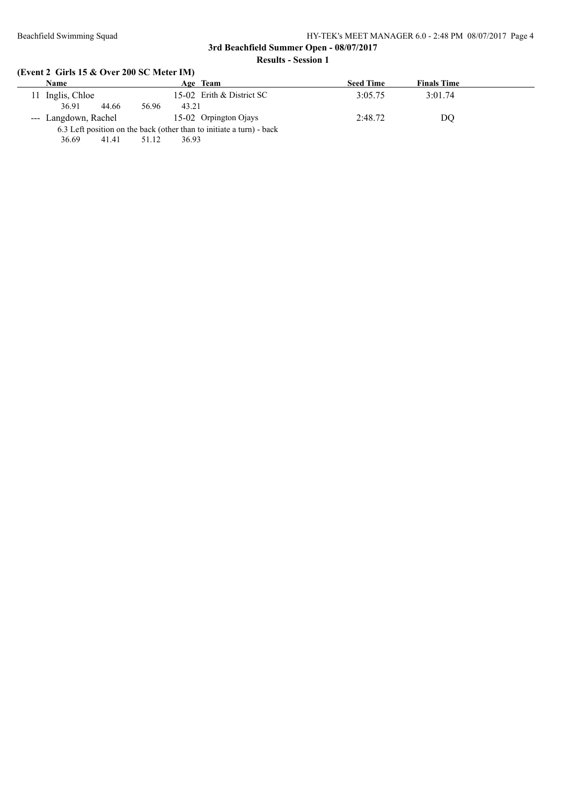#### Beachfield Swimming Squad HY-TEK's MEET MANAGER 6.0 - 2:48 PM 08/07/2017 Page 4

# **3rd Beachfield Summer Open - 08/07/2017 Results - Session 1**

# **(Event 2 Girls 15 & Over 200 SC Meter IM)**

|    | Name                 |                | Age Team                                                             | <b>Seed Time</b> | <b>Finals Time</b> |  |
|----|----------------------|----------------|----------------------------------------------------------------------|------------------|--------------------|--|
| 11 | Inglis, Chloe        |                | 15-02 Erith & District SC                                            | 3:05.75          | 3:01.74            |  |
|    | 36.91<br>44.66       | 43.21<br>56.96 |                                                                      |                  |                    |  |
|    | --- Langdown, Rachel |                | 15-02 Orpington Ojays                                                | 2:48.72          | DO                 |  |
|    |                      |                | 6.3 Left position on the back (other than to initiate a turn) - back |                  |                    |  |
|    | 36.69<br>41.41       | 36.93<br>51.12 |                                                                      |                  |                    |  |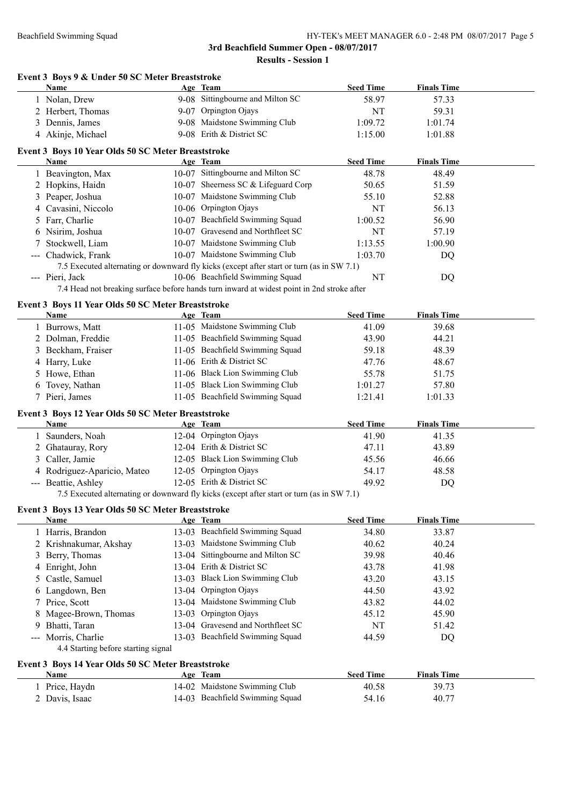# **Event 3 Boys 9 & Under 50 SC Meter Breaststroke Age Team Seed Time Finals Time** 1 Nolan, Drew 9-08 Sittingbourne and Milton SC 58.97 57.33 2 Herbert, Thomas 9-07 Orpington Ojays NT 59.31 3 Dennis, James 9-08 Maidstone Swimming Club 1:09.72 1:01.74 4 Akinje, Michael 9-08 Erith & District SC 1:15.00 1:01.88 **Event 3 Boys 10 Year Olds 50 SC Meter Breaststroke Age Team Seed Time Finals Time** 1 Beavington, Max 10-07 Sittingbourne and Milton SC 48.78 48.49 2 Hopkins, Haidn 10-07 Sheerness SC & Lifeguard Corp 50.65 51.59 3 Peaper, Joshua 10-07 Maidstone Swimming Club 55.10 52.88 4 Cavasini, Niccolo 10-06 Orpington Ojays NT 56.13 5 Farr, Charlie 10-07 Beachfield Swimming Squad 1:00.52 56.90 6 Nsirim, Joshua 10-07 Gravesend and Northfleet SC NT 57.19 7 Stockwell, Liam 10-07 Maidstone Swimming Club 1:13.55 1:00.90 --- Chadwick, Frank 10-07 Maidstone Swimming Club 1:03.70 DQ 7.5 Executed alternating or downward fly kicks (except after start or turn (as in SW 7.1) --- Pieri, Jack 10-06 Beachfield Swimming Squad NT DQ 7.4 Head not breaking surface before hands turn inward at widest point in 2nd stroke after **Event 3 Boys 11 Year Olds 50 SC Meter Breaststroke Age Team Age Team Seed Time Finals Time** 1 Burrows, Matt 11-05 Maidstone Swimming Club 41.09 39.68 2 Dolman, Freddie 11-05 Beachfield Swimming Squad 43.90 44.21 3 Beckham, Fraiser 11-05 Beachfield Swimming Squad 59.18 48.39 4 Harry, Luke 11-06 Erith & District SC 47.76 48.67 5 Howe, Ethan 11-06 Black Lion Swimming Club 55.78 51.75 6 Tovey, Nathan 11-05 Black Lion Swimming Club 1:01.27 57.80 7 Pieri, James 11-05 Beachfield Swimming Squad 1:21.41 1:01.33 **Event 3 Boys 12 Year Olds 50 SC Meter Breaststroke Age Team Age Team Seed Time Finals Time** 1 Saunders, Noah 12-04 Orpington Ojays 41.90 41.35 2 Ghatauray, Rory 12-04 Erith & District SC 47.11 43.89 3 Caller, Jamie 12-05 Black Lion Swimming Club 45.56 46.66 4 Rodriguez-Aparicio, Mateo 12-05 Orpington Ojays 54.17 48.58 --- Beattie, Ashley 12-05 Erith & District SC 49.92 DQ 7.5 Executed alternating or downward fly kicks (except after start or turn (as in SW 7.1) **Event 3 Boys 13 Year Olds 50 SC Meter Breaststroke Age Team Seed Time Finals Time** 1 Harris, Brandon 13-03 Beachfield Swimming Squad 34.80 33.87 2 Krishnakumar, Akshay 13-03 Maidstone Swimming Club 40.62 40.24 3 Berry, Thomas 13-04 Sittingbourne and Milton SC 39.98 40.46 4 Enright, John 13-04 Erith & District SC 43.78 41.98 5 Castle, Samuel 13-03 Black Lion Swimming Club 43.20 43.15 6 Langdown, Ben 13-04 Orpington Ojays 44.50 43.92 7 Price, Scott 13-04 Maidstone Swimming Club 43.82 44.02 8 Magee-Brown, Thomas 13-03 Orpington Ojays 45.12 45.90 9 Bhatti, Taran 13-04 Gravesend and Northfleet SC NT 51.42 --- Morris, Charlie 13-03 Beachfield Swimming Squad 44.59 DQ 4.4 Starting before starting signal **Event 3 Boys 14 Year Olds 50 SC Meter Breaststroke Age Team Seed Time Finals Time** 1 Price, Haydn 14-02 Maidstone Swimming Club 40.58 39.73 2 Davis, Isaac 14-03 Beachfield Swimming Squad 54.16 40.77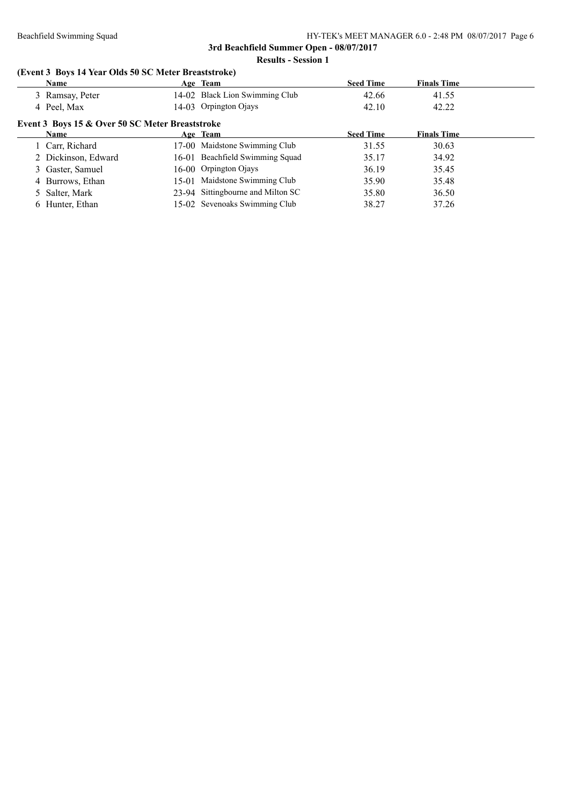# **Results - Session 1**

# **(Event 3 Boys 14 Year Olds 50 SC Meter Breaststroke)**

| Name                |                                                 | Age Team                          | <b>Seed Time</b> | <b>Finals Time</b> |  |
|---------------------|-------------------------------------------------|-----------------------------------|------------------|--------------------|--|
| 3 Ramsay, Peter     |                                                 | 14-02 Black Lion Swimming Club    | 42.66            | 41.55              |  |
| 4 Peel, Max         |                                                 | 14-03 Orpington Ojays             | 42.10            | 42.22              |  |
|                     | Event 3 Boys 15 & Over 50 SC Meter Breaststroke |                                   |                  |                    |  |
| <b>Name</b>         |                                                 | Age Team                          | <b>Seed Time</b> | <b>Finals Time</b> |  |
| 1 Carr, Richard     |                                                 | 17-00 Maidstone Swimming Club     | 31.55            | 30.63              |  |
| 2 Dickinson, Edward |                                                 | 16-01 Beachfield Swimming Squad   | 35.17            | 34.92              |  |
| 3 Gaster, Samuel    |                                                 | 16-00 Orpington Ojays             | 36.19            | 35.45              |  |
| 4 Burrows, Ethan    |                                                 | 15-01 Maidstone Swimming Club     | 35.90            | 35.48              |  |
| 5 Salter, Mark      |                                                 | 23-94 Sittingbourne and Milton SC | 35.80            | 36.50              |  |
| 6 Hunter, Ethan     |                                                 | 15-02 Sevenoaks Swimming Club     | 38.27            | 37.26              |  |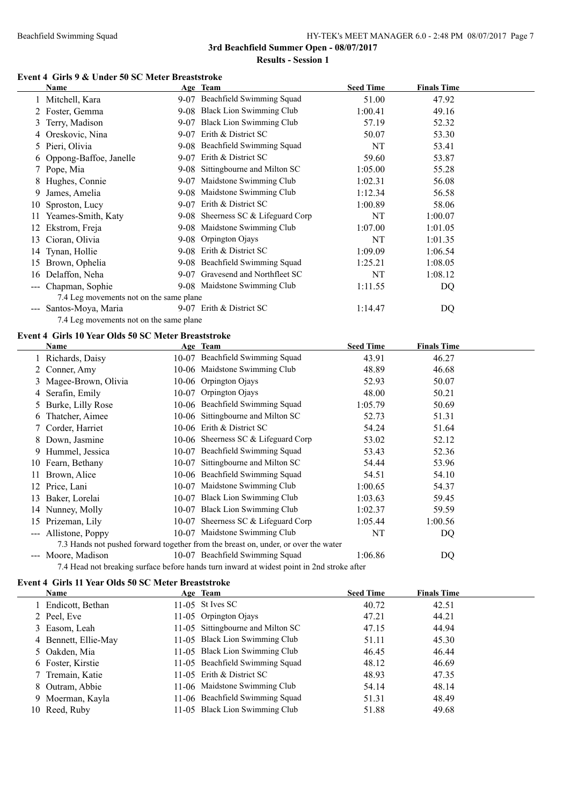#### Beachfield Swimming Squad HY-TEK's MEET MANAGER 6.0 - 2:48 PM 08/07/2017 Page 7

**3rd Beachfield Summer Open - 08/07/2017**

**Results - Session 1**

# **Event 4 Girls 9 & Under 50 SC Meter Breaststroke**

|    | Name                                                               | Age Team                                                                                                                      | <b>Seed Time</b> | <b>Finals Time</b> |  |
|----|--------------------------------------------------------------------|-------------------------------------------------------------------------------------------------------------------------------|------------------|--------------------|--|
|    | 1 Mitchell, Kara                                                   | 9-07 Beachfield Swimming Squad                                                                                                | 51.00            | 47.92              |  |
|    | 2 Foster, Gemma                                                    | 9-08 Black Lion Swimming Club                                                                                                 | 1:00.41          | 49.16              |  |
|    | 3 Terry, Madison                                                   | 9-07 Black Lion Swimming Club                                                                                                 | 57.19            | 52.32              |  |
|    | 4 Oreskovic, Nina                                                  | 9-07 Erith & District SC                                                                                                      | 50.07            | 53.30              |  |
|    | 5 Pieri, Olivia                                                    | 9-08 Beachfield Swimming Squad                                                                                                | NT               | 53.41              |  |
|    | 6 Oppong-Baffoe, Janelle                                           | 9-07 Erith & District SC                                                                                                      | 59.60            | 53.87              |  |
|    | 7 Pope, Mia                                                        | 9-08 Sittingbourne and Milton SC                                                                                              | 1:05.00          | 55.28              |  |
|    | 8 Hughes, Connie                                                   | 9-07 Maidstone Swimming Club                                                                                                  | 1:02.31          | 56.08              |  |
| 9. | James, Amelia                                                      | 9-08 Maidstone Swimming Club                                                                                                  | 1:12.34          | 56.58              |  |
|    | 10 Sproston, Lucy                                                  | 9-07 Erith & District SC                                                                                                      | 1:00.89          | 58.06              |  |
|    | 11 Yeames-Smith, Katy                                              | 9-08 Sheerness SC & Lifeguard Corp                                                                                            | NT               | 1:00.07            |  |
|    | 12 Ekstrom, Freja                                                  | 9-08 Maidstone Swimming Club                                                                                                  | 1:07.00          | 1:01.05            |  |
|    | 13 Cioran, Olivia                                                  | 9-08 Orpington Ojays                                                                                                          | NT               | 1:01.35            |  |
|    | 14 Tynan, Hollie                                                   | 9-08 Erith & District SC                                                                                                      | 1:09.09          | 1:06.54            |  |
|    | 15 Brown, Ophelia                                                  | 9-08 Beachfield Swimming Squad                                                                                                | 1:25.21          | 1:08.05            |  |
|    | 16 Delaffon, Neha                                                  | 9-07 Gravesend and Northfleet SC                                                                                              | NT               | 1:08.12            |  |
|    | --- Chapman, Sophie                                                | 9-08 Maidstone Swimming Club                                                                                                  | 1:11.55          | DQ                 |  |
|    | 7.4 Leg movements not on the same plane                            |                                                                                                                               |                  |                    |  |
|    | --- Santos-Moya, Maria                                             | 9-07 Erith & District SC                                                                                                      | 1:14.47          | <b>DQ</b>          |  |
|    | 7.4 Leg movements not on the same plane                            |                                                                                                                               |                  |                    |  |
|    |                                                                    |                                                                                                                               |                  |                    |  |
|    |                                                                    |                                                                                                                               |                  |                    |  |
|    | Event 4 Girls 10 Year Olds 50 SC Meter Breaststroke<br><b>Name</b> | <u>Age Team</u>                                                                                                               | <b>Seed Time</b> | <b>Finals Time</b> |  |
|    | 1 Richards, Daisy                                                  | 10-07 Beachfield Swimming Squad                                                                                               | 43.91            | 46.27              |  |
|    | 2 Conner, Amy                                                      | 10-06 Maidstone Swimming Club                                                                                                 | 48.89            | 46.68              |  |
|    | 3 Magee-Brown, Olivia                                              | 10-06 Orpington Ojays                                                                                                         | 52.93            | 50.07              |  |
|    | 4 Serafin, Emily                                                   | 10-07 Orpington Ojays                                                                                                         | 48.00            | 50.21              |  |
|    | 5 Burke, Lilly Rose                                                | 10-06 Beachfield Swimming Squad                                                                                               | 1:05.79          | 50.69              |  |
|    | 6 Thatcher, Aimee                                                  | 10-06 Sittingbourne and Milton SC                                                                                             | 52.73            | 51.31              |  |
|    | 7 Corder, Harriet                                                  | 10-06 Erith & District SC                                                                                                     | 54.24            | 51.64              |  |
|    | 8 Down, Jasmine                                                    | 10-06 Sheerness SC & Lifeguard Corp                                                                                           | 53.02            | 52.12              |  |
|    | 9 Hummel, Jessica                                                  | 10-07 Beachfield Swimming Squad                                                                                               | 53.43            | 52.36              |  |
|    | 10 Fearn, Bethany                                                  | 10-07 Sittingbourne and Milton SC                                                                                             | 54.44            | 53.96              |  |
|    | 11 Brown, Alice                                                    | 10-06 Beachfield Swimming Squad                                                                                               | 54.51            | 54.10              |  |
|    | 12 Price, Lani                                                     | 10-07 Maidstone Swimming Club                                                                                                 | 1:00.65          | 54.37              |  |
|    | 13 Baker, Lorelai                                                  | 10-07 Black Lion Swimming Club                                                                                                | 1:03.63          | 59.45              |  |
|    | 14 Nunney, Molly                                                   | 10-07 Black Lion Swimming Club                                                                                                | 1:02.37          | 59.59              |  |
|    | 15 Prizeman, Lily                                                  | 10-07 Sheerness SC & Lifeguard Corp                                                                                           | 1:05.44          | 1:00.56            |  |
|    | --- Allistone, Poppy                                               | 10-07 Maidstone Swimming Club                                                                                                 | NT               | DQ                 |  |
|    |                                                                    | 7.3 Hands not pushed forward together from the breast on, under, or over the water                                            |                  |                    |  |
|    | --- Moore, Madison                                                 | 10-07 Beachfield Swimming Squad<br>7.4 Head not breaking surface before hands turn inward at widest point in 2nd stroke after | 1:06.86          | DQ                 |  |

#### **Event 4 Girls 11 Year Olds 50 SC Meter Breaststroke**

| <b>Name</b>          | Age Team                          | <b>Seed Time</b> | <b>Finals Time</b> |  |
|----------------------|-----------------------------------|------------------|--------------------|--|
| 1 Endicott, Bethan   | 11-05 St Ives SC                  | 40.72            | 42.51              |  |
| 2 Peel, Eve          | 11-05 Orpington Ojays             | 47.21            | 44.21              |  |
| 3 Easom, Leah        | 11-05 Sittingbourne and Milton SC | 47.15            | 44.94              |  |
| 4 Bennett, Ellie-May | 11-05 Black Lion Swimming Club    | 51.11            | 45.30              |  |
| 5 Oakden, Mia        | 11-05 Black Lion Swimming Club    | 46.45            | 46.44              |  |
| 6 Foster, Kirstie    | 11-05 Beachfield Swimming Squad   | 48.12            | 46.69              |  |
| 7 Tremain, Katie     | 11-05 Erith & District SC         | 48.93            | 47.35              |  |
| 8 Outram, Abbie      | 11-06 Maidstone Swimming Club     | 54.14            | 48.14              |  |
| 9 Moerman, Kayla     | 11-06 Beachfield Swimming Squad   | 51.31            | 48.49              |  |
| 10 Reed, Ruby        | 11-05 Black Lion Swimming Club    | 51.88            | 49.68              |  |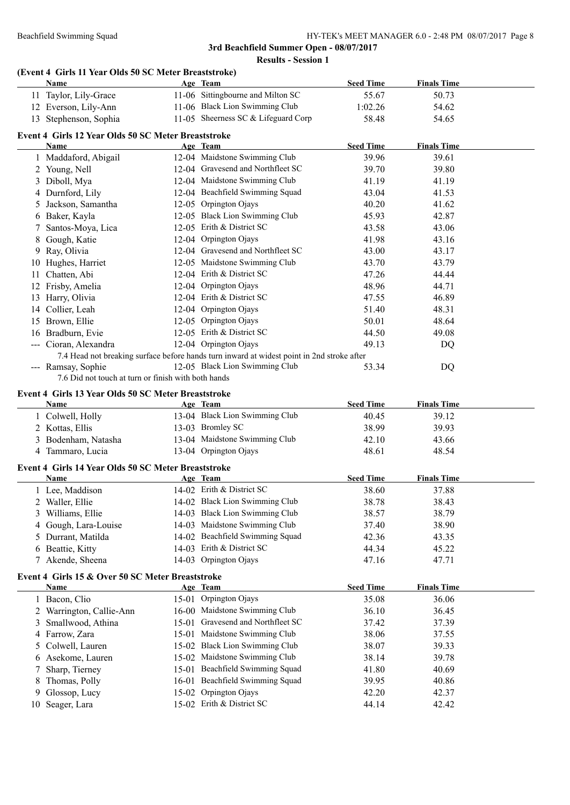# **(Event 4 Girls 11 Year Olds 50 SC Meter Breaststroke)**

|    | Name                                                                                       | Age Team                                               | <b>Seed Time</b> | <b>Finals Time</b> |  |
|----|--------------------------------------------------------------------------------------------|--------------------------------------------------------|------------------|--------------------|--|
|    | 11 Taylor, Lily-Grace                                                                      | 11-06 Sittingbourne and Milton SC                      | 55.67            | 50.73              |  |
|    | 12 Everson, Lily-Ann                                                                       | 11-06 Black Lion Swimming Club                         | 1:02.26          | 54.62              |  |
|    | 13 Stephenson, Sophia                                                                      | 11-05 Sheerness SC & Lifeguard Corp                    | 58.48            | 54.65              |  |
|    |                                                                                            |                                                        |                  |                    |  |
|    | Event 4 Girls 12 Year Olds 50 SC Meter Breaststroke                                        |                                                        |                  | <b>Finals Time</b> |  |
|    | Name                                                                                       | Age Team                                               | <b>Seed Time</b> |                    |  |
|    | 1 Maddaford, Abigail                                                                       | 12-04 Maidstone Swimming Club                          | 39.96            | 39.61              |  |
|    | 2 Young, Nell                                                                              | 12-04 Gravesend and Northfleet SC                      | 39.70            | 39.80              |  |
|    | 3 Diboll, Mya                                                                              | 12-04 Maidstone Swimming Club                          | 41.19            | 41.19              |  |
|    | 4 Durnford, Lily                                                                           | 12-04 Beachfield Swimming Squad                        | 43.04            | 41.53              |  |
|    | 5 Jackson, Samantha                                                                        | 12-05 Orpington Ojays                                  | 40.20            | 41.62              |  |
|    | 6 Baker, Kayla                                                                             | 12-05 Black Lion Swimming Club                         | 45.93            | 42.87              |  |
| 7  | Santos-Moya, Lica                                                                          | 12-05 Erith & District SC                              | 43.58            | 43.06              |  |
|    | 8 Gough, Katie                                                                             | 12-04 Orpington Ojays                                  | 41.98            | 43.16              |  |
|    | 9 Ray, Olivia                                                                              | 12-04 Gravesend and Northfleet SC                      | 43.00            | 43.17              |  |
|    | 10 Hughes, Harriet                                                                         | 12-05 Maidstone Swimming Club                          | 43.70            | 43.79              |  |
|    | 11 Chatten, Abi                                                                            | 12-04 Erith & District SC                              | 47.26            | 44.44              |  |
|    | 12 Frisby, Amelia                                                                          | 12-04 Orpington Ojays                                  | 48.96            | 44.71              |  |
|    | 13 Harry, Olivia                                                                           | 12-04 Erith & District SC                              | 47.55            | 46.89              |  |
|    | 14 Collier, Leah                                                                           | 12-04 Orpington Ojays                                  | 51.40            | 48.31              |  |
|    | 15 Brown, Ellie                                                                            | 12-05 Orpington Ojays                                  | 50.01            | 48.64              |  |
|    | 16 Bradburn, Evie                                                                          | 12-05 Erith & District SC                              | 44.50            | 49.08              |  |
|    | --- Cioran, Alexandra                                                                      | 12-04 Orpington Ojays                                  | 49.13            | DQ                 |  |
|    | 7.4 Head not breaking surface before hands turn inward at widest point in 2nd stroke after |                                                        |                  |                    |  |
|    | --- Ramsay, Sophie                                                                         | 12-05 Black Lion Swimming Club                         | 53.34            | DQ                 |  |
|    | 7.6 Did not touch at turn or finish with both hands                                        |                                                        |                  |                    |  |
|    |                                                                                            |                                                        |                  |                    |  |
|    |                                                                                            |                                                        |                  |                    |  |
|    | Event 4 Girls 13 Year Olds 50 SC Meter Breaststroke<br>Name                                | Age Team                                               | <b>Seed Time</b> | <b>Finals Time</b> |  |
|    |                                                                                            | 13-04 Black Lion Swimming Club                         | 40.45            | 39.12              |  |
|    | 1 Colwell, Holly                                                                           | 13-03 Bromley SC                                       | 38.99            | 39.93              |  |
|    | 2 Kottas, Ellis                                                                            |                                                        |                  |                    |  |
|    | 3 Bodenham, Natasha                                                                        | 13-04 Maidstone Swimming Club<br>13-04 Orpington Ojays | 42.10<br>48.61   | 43.66<br>48.54     |  |
|    | 4 Tammaro, Lucia                                                                           |                                                        |                  |                    |  |
|    | Event 4 Girls 14 Year Olds 50 SC Meter Breaststroke                                        |                                                        |                  |                    |  |
|    | Name                                                                                       | Age Team                                               | <b>Seed Time</b> | <b>Finals Time</b> |  |
|    | 1 Lee, Maddison                                                                            | 14-02 Erith & District SC                              | 38.60            | 37.88              |  |
|    | 2 Waller, Ellie                                                                            | 14-02 Black Lion Swimming Club                         | 38.78            | 38.43              |  |
|    | 3 Williams, Ellie                                                                          | 14-03 Black Lion Swimming Club                         | 38.57            | 38.79              |  |
| 4  | Gough, Lara-Louise                                                                         | 14-03 Maidstone Swimming Club                          | 37.40            | 38.90              |  |
| 5. | Durrant, Matilda                                                                           | 14-02 Beachfield Swimming Squad                        | 42.36            | 43.35              |  |
|    | 6 Beattie, Kitty                                                                           | 14-03 Erith & District SC                              | 44.34            | 45.22              |  |
|    | 7 Akende, Sheena                                                                           | 14-03 Orpington Ojays                                  | 47.16            | 47.71              |  |
|    | Event 4 Girls 15 & Over 50 SC Meter Breaststroke                                           |                                                        |                  |                    |  |
|    | <u>Name</u>                                                                                | Age Team                                               | <b>Seed Time</b> | <b>Finals Time</b> |  |
|    | 1 Bacon, Clio                                                                              | 15-01 Orpington Ojays                                  | 35.08            | 36.06              |  |
|    | 2 Warrington, Callie-Ann                                                                   | 16-00 Maidstone Swimming Club                          | 36.10            | 36.45              |  |
| 3  | Smallwood, Athina                                                                          | 15-01 Gravesend and Northfleet SC                      | 37.42            | 37.39              |  |
|    | 4 Farrow, Zara                                                                             | 15-01 Maidstone Swimming Club                          | 38.06            | 37.55              |  |
| 5  | Colwell, Lauren                                                                            | 15-02 Black Lion Swimming Club                         | 38.07            | 39.33              |  |
|    | 6 Asekome, Lauren                                                                          | 15-02 Maidstone Swimming Club                          | 38.14            | 39.78              |  |
|    | Sharp, Tierney                                                                             | 15-01 Beachfield Swimming Squad                        | 41.80            | 40.69              |  |
|    | 8 Thomas, Polly                                                                            | 16-01 Beachfield Swimming Squad                        | 39.95            | 40.86              |  |
| 9  | Glossop, Lucy                                                                              | 15-02 Orpington Ojays                                  | 42.20            | 42.37              |  |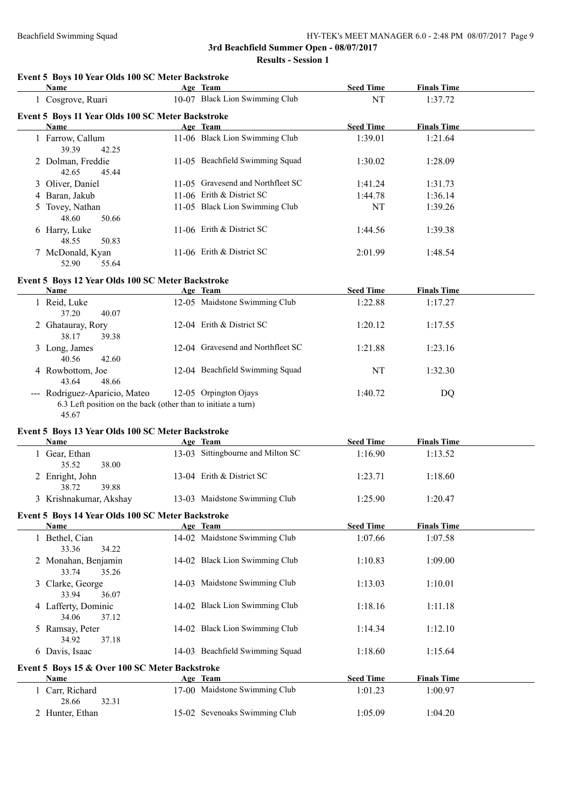**Results - Session 1**

| Event 5 Boys 10 Year Olds 100 SC Meter Backstroke<br>Name                                               | Age Team                          | <b>Seed Time</b> | <b>Finals Time</b> |  |
|---------------------------------------------------------------------------------------------------------|-----------------------------------|------------------|--------------------|--|
| 1 Cosgrove, Ruari                                                                                       | 10-07 Black Lion Swimming Club    | NT               | 1:37.72            |  |
| Event 5 Boys 11 Year Olds 100 SC Meter Backstroke                                                       |                                   |                  |                    |  |
| Name                                                                                                    | Age Team                          | <b>Seed Time</b> | <b>Finals Time</b> |  |
| 1 Farrow, Callum<br>39.39<br>42.25                                                                      | 11-06 Black Lion Swimming Club    | 1:39.01          | 1:21.64            |  |
| 2 Dolman, Freddie<br>42.65<br>45.44                                                                     | 11-05 Beachfield Swimming Squad   | 1:30.02          | 1:28.09            |  |
| 3 Oliver, Daniel                                                                                        | 11-05 Gravesend and Northfleet SC | 1:41.24          | 1:31.73            |  |
| 4 Baran, Jakub                                                                                          | 11-06 Erith & District SC         | 1:44.78          | 1:36.14            |  |
| 5 Tovey, Nathan<br>48.60<br>50.66                                                                       | 11-05 Black Lion Swimming Club    | NT               | 1:39.26            |  |
| 6 Harry, Luke<br>48.55<br>50.83                                                                         | 11-06 Erith & District SC         | 1:44.56          | 1:39.38            |  |
| 7 McDonald, Kyan<br>52.90<br>55.64                                                                      | 11-06 Erith & District SC         | 2:01.99          | 1:48.54            |  |
| Event 5 Boys 12 Year Olds 100 SC Meter Backstroke<br><b>Name</b>                                        | Age Team                          | <b>Seed Time</b> | <b>Finals Time</b> |  |
| 1 Reid, Luke<br>37.20<br>40.07                                                                          | 12-05 Maidstone Swimming Club     | 1:22.88          | 1:17.27            |  |
| 2 Ghatauray, Rory<br>39.38<br>38.17                                                                     | 12-04 Erith & District SC         | 1:20.12          | 1:17.55            |  |
| 3 Long, James<br>40.56<br>42.60                                                                         | 12-04 Gravesend and Northfleet SC | 1:21.88          | 1:23.16            |  |
| 4 Rowbottom, Joe<br>48.66<br>43.64                                                                      | 12-04 Beachfield Swimming Squad   | NT               | 1:32.30            |  |
| --- Rodriguez-Aparicio, Mateo<br>6.3 Left position on the back (other than to initiate a turn)<br>45.67 | 12-05 Orpington Ojays             | 1:40.72          | DQ                 |  |
| Event 5 Boys 13 Year Olds 100 SC Meter Backstroke<br><b>Name</b>                                        | Age Team                          | <b>Seed Time</b> | <b>Finals Time</b> |  |
| 1 Gear, Ethan<br>35.52<br>38.00                                                                         | 13-03 Sittingbourne and Milton SC | 1:16.90          | 1:13.52            |  |
| 2 Enright, John<br>38.72<br>39.88                                                                       | 13-04 Erith & District SC         | 1:23.71          | 1:18.60            |  |
| 3 Krishnakumar, Akshay                                                                                  | 13-03 Maidstone Swimming Club     | 1:25.90          | 1:20.47            |  |
| Event 5 Boys 14 Year Olds 100 SC Meter Backstroke<br>Name                                               | Age Team                          | <b>Seed Time</b> | <b>Finals Time</b> |  |
| 1 Bethel, Cian<br>34.22<br>33.36                                                                        | 14-02 Maidstone Swimming Club     | 1:07.66          | 1:07.58            |  |
| 2 Monahan, Benjamin<br>35.26<br>33.74                                                                   | 14-02 Black Lion Swimming Club    | 1:10.83          | 1:09.00            |  |
| 3 Clarke, George<br>36.07<br>33.94                                                                      | 14-03 Maidstone Swimming Club     | 1:13.03          | 1:10.01            |  |
| 4 Lafferty, Dominic<br>34.06<br>37.12                                                                   | 14-02 Black Lion Swimming Club    | 1:18.16          | 1:11.18            |  |
| 5 Ramsay, Peter<br>34.92<br>37.18                                                                       | 14-02 Black Lion Swimming Club    | 1:14.34          | 1:12.10            |  |
| 6 Davis, Isaac                                                                                          | 14-03 Beachfield Swimming Squad   | 1:18.60          | 1:15.64            |  |
| Event 5 Boys 15 & Over 100 SC Meter Backstroke                                                          |                                   |                  |                    |  |
| <b>Name</b>                                                                                             | Age Team                          | <b>Seed Time</b> | <b>Finals Time</b> |  |
| 1 Carr, Richard                                                                                         | 17-00 Maidstone Swimming Club     | 1:01.23          | 1:00.97            |  |
| 28.66<br>32.31                                                                                          | 15-02 Sevenoaks Swimming Club     |                  |                    |  |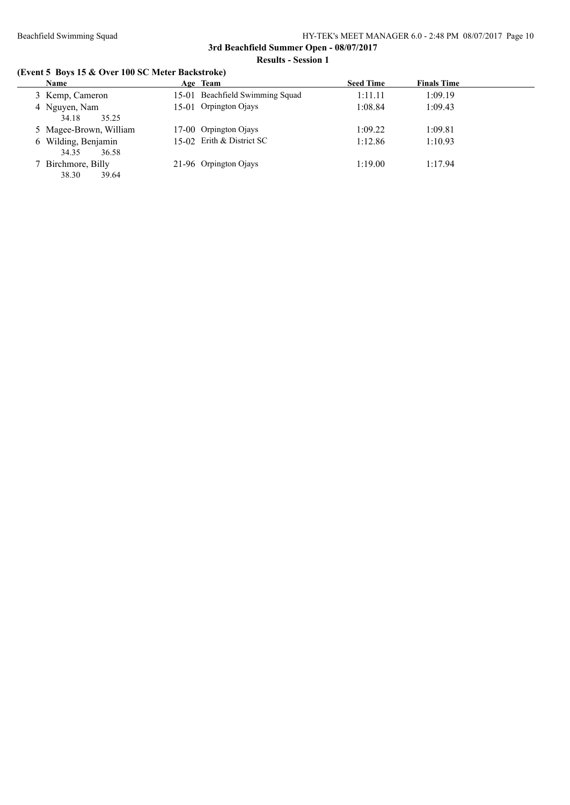# **(Event 5 Boys 15 & Over 100 SC Meter Backstroke)**

| Name                                  | Age Team                        | <b>Seed Time</b> | <b>Finals Time</b> |
|---------------------------------------|---------------------------------|------------------|--------------------|
| 3 Kemp, Cameron                       | 15-01 Beachfield Swimming Squad | 1:11.11          | 1:09.19            |
| 4 Nguyen, Nam<br>35.25<br>34.18       | 15-01 Orpington Ojays           | 1:08.84          | 1:09.43            |
| 5 Magee-Brown, William                | 17-00 Orpington Ojays           | 1:09.22          | 1:09.81            |
| 6 Wilding, Benjamin<br>36.58<br>34.35 | 15-02 Erith & District SC       | 1:12.86          | 1:10.93            |
| 7 Birchmore, Billy<br>39.64<br>38.30  | 21-96 Orpington Ojays           | 1:19.00          | 1:17.94            |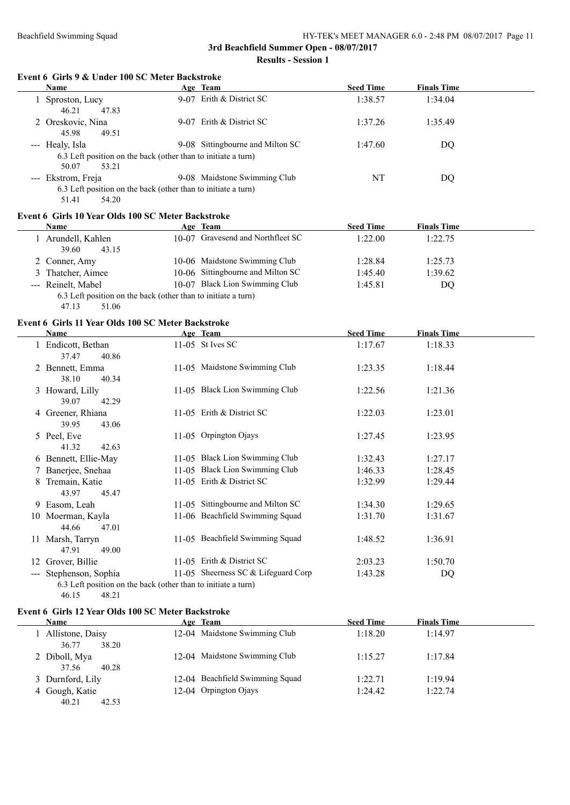#### **Event 6 Girls 9 & Under 100 SC Meter Backstroke**

| <b>Name</b>                                                   | Age Team                         | <b>Seed Time</b> | <b>Finals Time</b> |
|---------------------------------------------------------------|----------------------------------|------------------|--------------------|
| Sproston, Lucy                                                | 9-07 Erith & District SC         | 1:38.57          | 1:34.04            |
| 46.21<br>47.83                                                |                                  |                  |                    |
| 2 Oreskovic, Nina                                             | 9-07 Erith & District SC         | 1:37.26          | 1:35.49            |
| 45.98<br>49.51                                                |                                  |                  |                    |
| --- Healy, Isla                                               | 9-08 Sittingbourne and Milton SC | 1:47.60          | DQ                 |
| 6.3 Left position on the back (other than to initiate a turn) |                                  |                  |                    |
| 50.07<br>53.21                                                |                                  |                  |                    |
| --- Ekstrom, Freja                                            | 9-08 Maidstone Swimming Club     | NΤ               | DQ                 |
| 6.3 Left position on the back (other than to initiate a turn) |                                  |                  |                    |
|                                                               |                                  |                  |                    |

51.41 54.20

#### **Event 6 Girls 10 Year Olds 100 SC Meter Backstroke**

| Name                                                          | Age Team                          | <b>Seed Time</b> | <b>Finals Time</b> |
|---------------------------------------------------------------|-----------------------------------|------------------|--------------------|
| Arundell, Kahlen<br>39.60<br>43.15                            | 10-07 Gravesend and Northfleet SC | 1:22.00          | 1:22.75            |
| 2 Conner, Amy                                                 | 10-06 Maidstone Swimming Club     | 1:28.84          | 1:25.73            |
| 3 Thatcher, Aimee                                             | 10-06 Sittingbourne and Milton SC | 1:45.40          | 1:39.62            |
| --- Reinelt, Mabel                                            | 10-07 Black Lion Swimming Club    | 1:45.81          | DO                 |
| 6.3 Left position on the back (other than to initiate a turn) |                                   |                  |                    |

47.13 51.06

# **Event 6 Girls 11 Year Olds 100 SC Meter Backstroke**

|                     | Name                                                                                                  | Age Team                           | <b>Seed Time</b> | <b>Finals Time</b> |
|---------------------|-------------------------------------------------------------------------------------------------------|------------------------------------|------------------|--------------------|
|                     | 1 Endicott, Bethan<br>37.47<br>40.86                                                                  | 11-05 St Ives SC                   | 1:17.67          | 1:18.33            |
|                     | 2 Bennett, Emma<br>38.10<br>40.34                                                                     | 11-05 Maidstone Swimming Club      | 1:23.35          | 1:18.44            |
|                     | 3 Howard, Lilly<br>39.07<br>42.29                                                                     | 11-05 Black Lion Swimming Club     | 1:22.56          | 1:21.36            |
|                     | 4 Greener, Rhiana<br>39.95<br>43.06                                                                   | 11-05 Erith & District SC          | 1:22.03          | 1:23.01            |
|                     | 5 Peel, Eve<br>41.32<br>42.63                                                                         | 11-05 Orpington Ojays              | 1:27.45          | 1:23.95            |
|                     | 6 Bennett, Ellie-May                                                                                  | 11-05 Black Lion Swimming Club     | 1:32.43          | 1:27.17            |
|                     | 7 Banerjee, Snehaa                                                                                    | 11-05 Black Lion Swimming Club     | 1:46.33          | 1:28.45            |
|                     | 8 Tremain, Katie<br>43.97<br>45.47                                                                    | 11-05 Erith & District SC          | 1:32.99          | 1:29.44            |
|                     | 9 Easom, Leah                                                                                         | 11-05 Sittingbourne and Milton SC  | 1:34.30          | 1:29.65            |
|                     | 10 Moerman, Kayla<br>44.66<br>47.01                                                                   | 11-06 Beachfield Swimming Squad    | 1:31.70          | 1:31.67            |
|                     | 11 Marsh, Tarryn<br>47.91<br>49.00                                                                    | 11-05 Beachfield Swimming Squad    | 1:48.52          | 1:36.91            |
| 12                  | Grover, Billie                                                                                        | 11-05 Erith & District SC          | 2:03.23          | 1:50.70            |
| $\qquad \qquad - -$ | Stephenson, Sophia<br>6.3 Left position on the back (other than to initiate a turn)<br>46.15<br>48.21 | 11-05 Sheemess SC & Lifeguard Corp | 1:43.28          | DQ                 |

#### **Event 6 Girls 12 Year Olds 100 SC Meter Backstroke**

| <b>Name</b>                        | Age Team                        | <b>Seed Time</b> | <b>Finals Time</b> |  |
|------------------------------------|---------------------------------|------------------|--------------------|--|
| Allistone, Daisy<br>38.20<br>36.77 | 12-04 Maidstone Swimming Club   | 1:18.20          | 1:14.97            |  |
| 2 Diboll, Mya<br>37.56<br>40.28    | 12-04 Maidstone Swimming Club   | 1:15.27          | 1:17.84            |  |
| 3 Durnford, Lily                   | 12-04 Beachfield Swimming Squad | 1:22.71          | 1:19.94            |  |
| 4 Gough, Katie<br>40.21<br>42.53   | 12-04 Orpington Ojays           | 1:24.42          | 1:22.74            |  |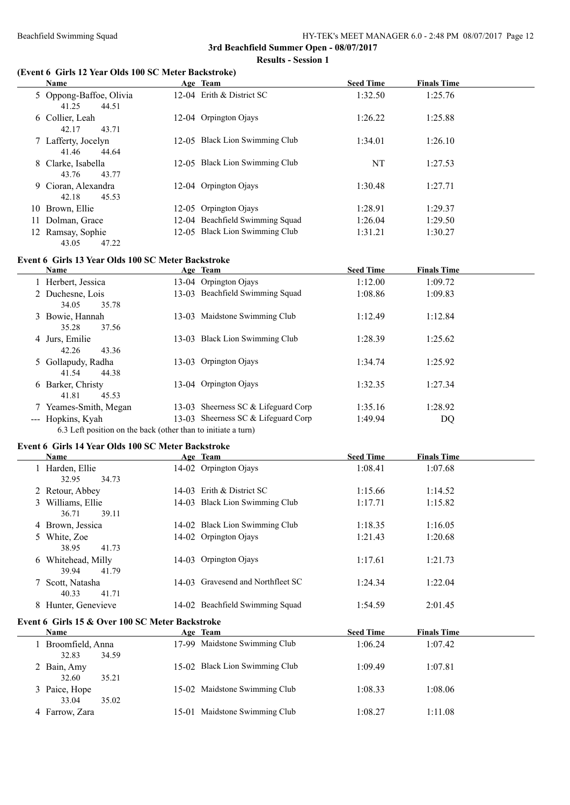### **(Event 6 Girls 12 Year Olds 100 SC Meter Backstroke)**

|    | Name                                      | Age Team                        | <b>Seed Time</b> | <b>Finals Time</b> |
|----|-------------------------------------------|---------------------------------|------------------|--------------------|
|    | 5 Oppong-Baffoe, Olivia<br>41.25<br>44.51 | 12-04 Erith & District SC       | 1:32.50          | 1:25.76            |
|    | 6 Collier, Leah<br>43.71<br>42.17         | 12-04 Orpington Ojays           | 1:26.22          | 1:25.88            |
|    | 7 Lafferty, Jocelyn<br>41.46<br>44.64     | 12-05 Black Lion Swimming Club  | 1:34.01          | 1:26.10            |
|    | 8 Clarke, Isabella<br>43.76<br>43.77      | 12-05 Black Lion Swimming Club  | NT               | 1:27.53            |
|    | 9 Cioran, Alexandra<br>42.18<br>45.53     | 12-04 Orpington Ojays           | 1:30.48          | 1:27.71            |
|    | 10 Brown, Ellie                           | 12-05 Orpington Ojays           | 1:28.91          | 1:29.37            |
| 11 | Dolman, Grace                             | 12-04 Beachfield Swimming Squad | 1:26.04          | 1:29.50            |
|    | 12 Ramsay, Sophie<br>43.05<br>47.22       | 12-05 Black Lion Swimming Club  | 1:31.21          | 1:30.27            |

#### **Event 6 Girls 13 Year Olds 100 SC Meter Backstroke**

|                     | <b>Name</b>                                                   | Age Team                           | <b>Seed Time</b> | <b>Finals Time</b> |
|---------------------|---------------------------------------------------------------|------------------------------------|------------------|--------------------|
|                     | 1 Herbert, Jessica                                            | 13-04 Orpington Ojays              | 1:12.00          | 1:09.72            |
|                     | 2 Duchesne, Lois                                              | 13-03 Beachfield Swimming Squad    | 1:08.86          | 1:09.83            |
|                     | 35.78<br>34.05                                                |                                    |                  |                    |
|                     | 3 Bowie, Hannah                                               | 13-03 Maidstone Swimming Club      | 1:12.49          | 1:12.84            |
|                     | 37.56<br>35.28                                                |                                    |                  |                    |
|                     | 4 Jurs, Emilie                                                | 13-03 Black Lion Swimming Club     | 1:28.39          | 1:25.62            |
|                     | 42.26<br>43.36                                                |                                    |                  |                    |
|                     | 5 Gollapudy, Radha                                            | 13-03 Orpington Ojays              | 1:34.74          | 1:25.92            |
|                     | 44.38<br>41.54                                                |                                    |                  |                    |
|                     | 6 Barker, Christy                                             | 13-04 Orpington Ojays              | 1:32.35          | 1:27.34            |
|                     | 45.53<br>41.81                                                |                                    |                  |                    |
|                     | 7 Yeames-Smith, Megan                                         | 13-03 Sheemess SC & Lifeguard Corp | 1:35.16          | 1:28.92            |
| $\qquad \qquad - -$ | Hopkins, Kyah                                                 | 13-03 Sheemess SC & Lifeguard Corp | 1:49.94          | DQ                 |
|                     | 6.3 Left position on the back (other than to initiate a turn) |                                    |                  |                    |

#### **Event 6 Girls 14 Year Olds 100 SC Meter Backstroke**

| Name                                            |         | Age Team                          | <b>Seed Time</b> | <b>Finals Time</b> |
|-------------------------------------------------|---------|-----------------------------------|------------------|--------------------|
| 1 Harden, Ellie                                 |         | 14-02 Orpington Ojays             | 1:08.41          | 1:07.68            |
| 32.95<br>34.73                                  |         |                                   |                  |                    |
| 2 Retour, Abbey                                 |         | 14-03 Erith & District SC         | 1:15.66          | 1:14.52            |
| 3 Williams, Ellie                               | $14-03$ | Black Lion Swimming Club          | 1:17.71          | 1:15.82            |
| 36.71<br>39.11                                  |         |                                   |                  |                    |
| 4 Brown, Jessica                                |         | 14-02 Black Lion Swimming Club    | 1:18.35          | 1:16.05            |
| 5 White, Zoe                                    |         | 14-02 Orpington Ojays             | 1:21.43          | 1:20.68            |
| 38.95<br>41.73                                  |         |                                   |                  |                    |
| 6 Whitehead, Milly                              |         | 14-03 Orpington Ojays             | 1:17.61          | 1:21.73            |
| 39.94<br>41.79                                  |         |                                   |                  |                    |
| 7 Scott, Natasha                                |         | 14-03 Gravesend and Northfleet SC | 1:24.34          | 1:22.04            |
| 40.33<br>41.71                                  |         |                                   |                  |                    |
| 8 Hunter, Genevieve                             |         | 14-02 Beachfield Swimming Squad   | 1:54.59          | 2:01.45            |
| Event 6 Girls 15 & Over 100 SC Meter Backstroke |         |                                   |                  |                    |
| <b>Name</b>                                     |         | Age Team                          | <b>Seed Time</b> | <b>Finals Time</b> |
| 1 Broomfield, Anna                              |         | 17-99 Maidstone Swimming Club     | 1:06.24          | 1:07.42            |
| 32.83<br>34.59                                  |         |                                   |                  |                    |
| 2 Bain, Amy                                     |         | 15-02 Black Lion Swimming Club    | 1:09.49          | 1:07.81            |
| 32.60<br>35.21                                  |         |                                   |                  |                    |
| 3 Paice, Hope                                   |         | 15-02 Maidstone Swimming Club     | 1:08.33          | 1:08.06            |
| 33.04<br>35.02                                  |         |                                   |                  |                    |
| 4 Farrow, Zara                                  |         | 15-01 Maidstone Swimming Club     | 1:08.27          | 1:11.08            |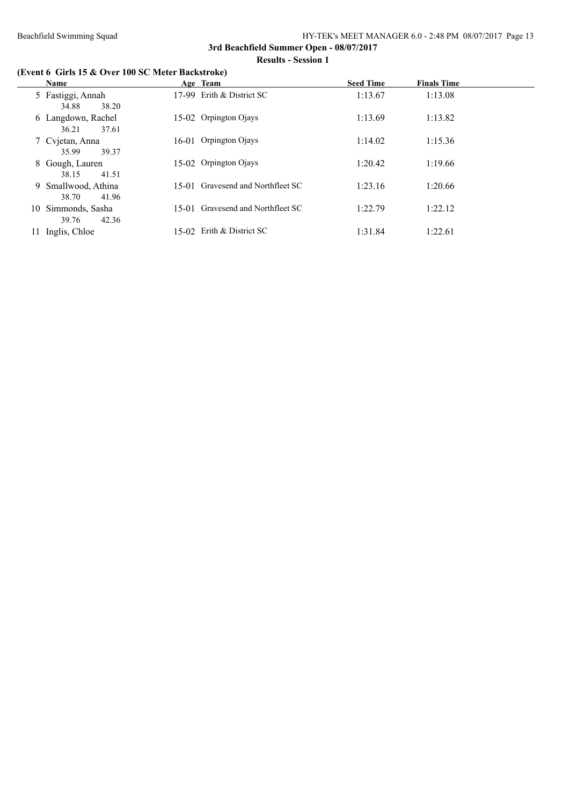# **(Event 6 Girls 15 & Over 100 SC Meter Backstroke)**

|    | Name                                  | Age Team                          | <b>Seed Time</b> | <b>Finals Time</b> |
|----|---------------------------------------|-----------------------------------|------------------|--------------------|
|    | 5 Fastiggi, Annah<br>38.20<br>34.88   | 17-99 Erith & District SC         | 1:13.67          | 1:13.08            |
|    | 6 Langdown, Rachel<br>37.61<br>36.21  | 15-02 Orpington Ojays             | 1:13.69          | 1:13.82            |
|    | 7 Cvjetan, Anna<br>39.37<br>35.99     | 16-01 Orpington Ojays             | 1:14.02          | 1:15.36            |
|    | 8 Gough, Lauren<br>41.51<br>38.15     | 15-02 Orpington Ojays             | 1:20.42          | 1:19.66            |
|    | 9 Smallwood, Athina<br>41.96<br>38.70 | 15-01 Gravesend and Northfleet SC | 1:23.16          | 1:20.66            |
|    | 10 Simmonds, Sasha<br>42.36<br>39.76  | 15-01 Gravesend and Northfleet SC | 1:22.79          | 1:22.12            |
| 11 | Inglis, Chloe                         | 15-02 Erith & District SC         | 1:31.84          | 1:22.61            |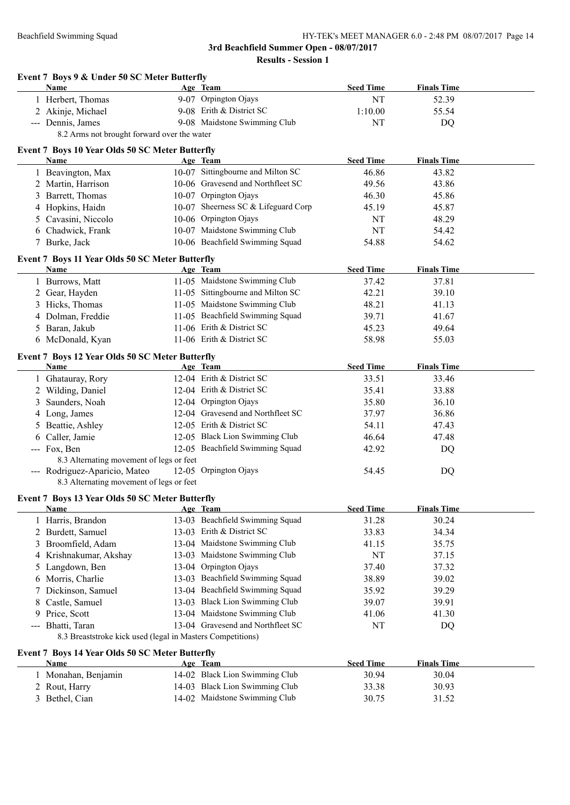|   | Event 7 Boys 9 & Under 50 SC Meter Butterfly<br>Name       | Age Team                            | <b>Seed Time</b> | <b>Finals Time</b> |  |
|---|------------------------------------------------------------|-------------------------------------|------------------|--------------------|--|
|   | 1 Herbert, Thomas                                          | 9-07 Orpington Ojays                | NT               | 52.39              |  |
|   | 2 Akinje, Michael                                          | 9-08 Erith & District SC            | 1:10.00          | 55.54              |  |
|   | --- Dennis, James                                          | 9-08 Maidstone Swimming Club        | NT               | <b>DQ</b>          |  |
|   | 8.2 Arms not brought forward over the water                |                                     |                  |                    |  |
|   | Event 7 Boys 10 Year Olds 50 SC Meter Butterfly            |                                     |                  |                    |  |
|   | Name                                                       | Age Team                            | <b>Seed Time</b> | <b>Finals Time</b> |  |
|   | 1 Beavington, Max                                          | 10-07 Sittingbourne and Milton SC   | 46.86            | 43.82              |  |
|   | 2 Martin, Harrison                                         | 10-06 Gravesend and Northfleet SC   | 49.56            | 43.86              |  |
|   | 3 Barrett, Thomas                                          | 10-07 Orpington Ojays               | 46.30            | 45.86              |  |
|   | 4 Hopkins, Haidn                                           | 10-07 Sheerness SC & Lifeguard Corp | 45.19            | 45.87              |  |
|   | Cavasini, Niccolo                                          | 10-06 Orpington Ojays               | NT               | 48.29              |  |
| 6 | Chadwick, Frank                                            | 10-07 Maidstone Swimming Club       | NT               | 54.42              |  |
|   | 7 Burke, Jack                                              | 10-06 Beachfield Swimming Squad     | 54.88            | 54.62              |  |
|   | Event 7 Boys 11 Year Olds 50 SC Meter Butterfly            |                                     |                  |                    |  |
|   | <b>Name</b>                                                | Age Team                            | <b>Seed Time</b> | <b>Finals Time</b> |  |
|   | 1 Burrows, Matt                                            | 11-05 Maidstone Swimming Club       | 37.42            | 37.81              |  |
|   | 2 Gear, Hayden                                             | 11-05 Sittingbourne and Milton SC   | 42.21            | 39.10              |  |
|   | 3 Hicks, Thomas                                            | 11-05 Maidstone Swimming Club       | 48.21            | 41.13              |  |
| 4 | Dolman, Freddie                                            | 11-05 Beachfield Swimming Squad     | 39.71            | 41.67              |  |
| 5 | Baran, Jakub                                               | 11-06 Erith & District SC           | 45.23            | 49.64              |  |
|   | 6 McDonald, Kyan                                           | 11-06 Erith & District SC           | 58.98            | 55.03              |  |
|   | Event 7 Boys 12 Year Olds 50 SC Meter Butterfly            |                                     |                  |                    |  |
|   | Name                                                       | Age Team                            | <b>Seed Time</b> | <b>Finals Time</b> |  |
|   | 1 Ghatauray, Rory                                          | 12-04 Erith & District SC           | 33.51            | 33.46              |  |
|   | 2 Wilding, Daniel                                          | 12-04 Erith & District SC           | 35.41            | 33.88              |  |
| 3 | Saunders, Noah                                             | 12-04 Orpington Ojays               | 35.80            | 36.10              |  |
|   | 4 Long, James                                              | 12-04 Gravesend and Northfleet SC   | 37.97            | 36.86              |  |
| 5 | Beattie, Ashley                                            | 12-05 Erith & District SC           | 54.11            | 47.43              |  |
| 6 | Caller, Jamie                                              | 12-05 Black Lion Swimming Club      | 46.64            | 47.48              |  |
|   | --- Fox, Ben                                               | 12-05 Beachfield Swimming Squad     | 42.92            | DQ                 |  |
|   | 8.3 Alternating movement of legs or feet                   |                                     |                  |                    |  |
|   | --- Rodriguez-Aparicio, Mateo                              | 12-05 Orpington Ojays               | 54.45            | DQ                 |  |
|   | 8.3 Alternating movement of legs or feet                   |                                     |                  |                    |  |
|   | Event 7 Boys 13 Year Olds 50 SC Meter Butterfly            |                                     |                  |                    |  |
|   | Name                                                       | Age Team                            | <b>Seed Time</b> | <b>Finals Time</b> |  |
|   | 1 Harris, Brandon                                          | 13-03 Beachfield Swimming Squad     | 31.28            | 30.24              |  |
|   | 2 Burdett, Samuel                                          | 13-03 Erith & District SC           | 33.83            | 34.34              |  |
|   | 3 Broomfield, Adam                                         | 13-04 Maidstone Swimming Club       | 41.15            | 35.75              |  |
|   | 4 Krishnakumar, Akshay                                     | 13-03 Maidstone Swimming Club       | NT               | 37.15              |  |
|   | 5 Langdown, Ben                                            | 13-04 Orpington Ojays               | 37.40            | 37.32              |  |
|   | 6 Morris, Charlie                                          | 13-03 Beachfield Swimming Squad     | 38.89            | 39.02              |  |
| 7 | Dickinson, Samuel                                          | 13-04 Beachfield Swimming Squad     | 35.92            | 39.29              |  |
| 8 | Castle, Samuel                                             | 13-03 Black Lion Swimming Club      | 39.07            | 39.91              |  |
| 9 | Price, Scott                                               | 13-04 Maidstone Swimming Club       | 41.06            | 41.30              |  |
|   | Bhatti, Taran                                              | 13-04 Gravesend and Northfleet SC   | NT               | DQ                 |  |
|   | 8.3 Breaststroke kick used (legal in Masters Competitions) |                                     |                  |                    |  |
|   |                                                            |                                     |                  |                    |  |
|   | Event 7 Boys 14 Year Olds 50 SC Meter Butterfly            |                                     |                  |                    |  |
|   | <b>Name</b>                                                | Age Team                            | <b>Seed Time</b> | <b>Finals Time</b> |  |
|   | 1 Monahan, Benjamin                                        | 14-02 Black Lion Swimming Club      | 30.94            | 30.04              |  |
|   | 2 Rout, Harry                                              | 14-03 Black Lion Swimming Club      | 33.38            | 30.93              |  |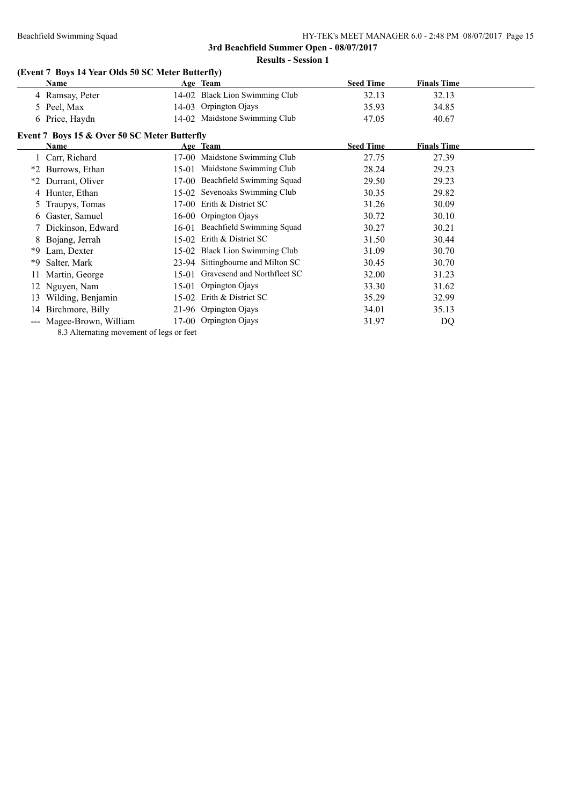**Results - Session 1**

# **(Event 7 Boys 14 Year Olds 50 SC Meter Butterfly)**

8.3 Alternating movement of legs or feet

|    | Name                                         |         | Age Team                        | <b>Seed Time</b> | <b>Finals Time</b> |  |  |  |
|----|----------------------------------------------|---------|---------------------------------|------------------|--------------------|--|--|--|
|    | 4 Ramsay, Peter                              |         | 14-02 Black Lion Swimming Club  | 32.13            | 32.13              |  |  |  |
|    | 5 Peel, Max                                  |         | 14-03 Orpington Ojays           | 35.93            | 34.85              |  |  |  |
|    | 6 Price, Haydn                               |         | 14-02 Maidstone Swimming Club   | 47.05            | 40.67              |  |  |  |
|    | Event 7 Boys 15 & Over 50 SC Meter Butterfly |         |                                 |                  |                    |  |  |  |
|    | Name                                         |         | Age Team                        | <b>Seed Time</b> | <b>Finals Time</b> |  |  |  |
|    | Carr, Richard                                |         | 17-00 Maidstone Swimming Club   | 27.75            | 27.39              |  |  |  |
|    | *2 Burrows, Ethan                            | $15-01$ | Maidstone Swimming Club         | 28.24            | 29.23              |  |  |  |
|    | *2 Durrant, Oliver                           |         | 17-00 Beachfield Swimming Squad | 29.50            | 29.23              |  |  |  |
|    | 4 Hunter, Ethan                              |         | 15-02 Sevenoaks Swimming Club   | 30.35            | 29.82              |  |  |  |
|    | 5 Traupys, Tomas                             |         | 17-00 Erith & District SC       | 31.26            | 30.09              |  |  |  |
|    | 6 Gaster, Samuel                             |         | 16-00 Orpington Ojays           | 30.72            | 30.10              |  |  |  |
|    | 7 Dickinson, Edward                          |         | 16-01 Beachfield Swimming Squad | 30.27            | 30.21              |  |  |  |
|    | 8 Bojang, Jerrah                             |         | 15-02 Erith & District SC       | 31.50            | 30.44              |  |  |  |
| *9 | Lam, Dexter                                  |         | 15-02 Black Lion Swimming Club  | 31.09            | 30.70              |  |  |  |

\*9 Salter, Mark 23-94 Sittingbourne and Milton SC 30.45 30.70 11 Martin, George 15-01 Gravesend and Northfleet SC 32.00 31.23 12 Nguyen, Nam 15-01 Orpington Ojays 33.30 31.62 13 Wilding, Benjamin 15-02 Erith & District SC 35.29 32.99 14 Birchmore, Billy 21-96 Orpington Ojays 34.01 35.13 --- Magee-Brown, William 17-00 Orpington Ojays 31.97 DQ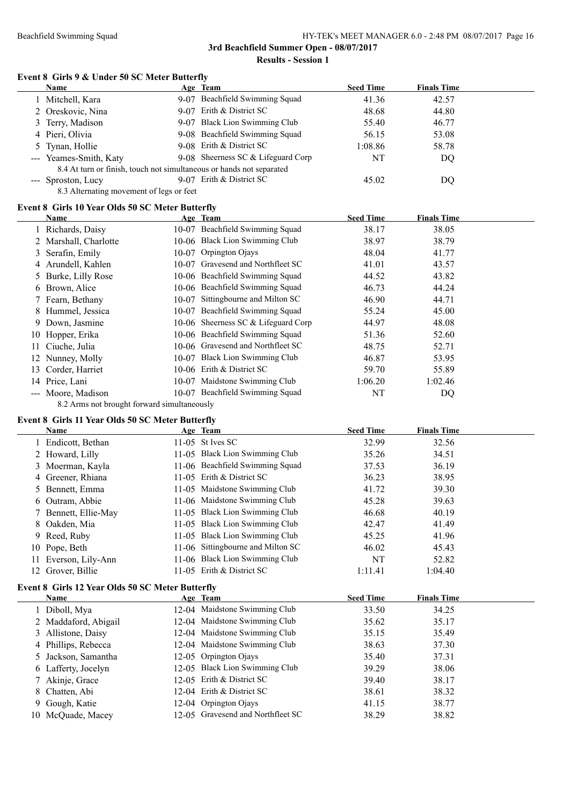### **Event 8 Girls 9 & Under 50 SC Meter Butterfly**

| Name                                                                 | Age Team                            | <b>Seed Time</b> | <b>Finals Time</b> |  |
|----------------------------------------------------------------------|-------------------------------------|------------------|--------------------|--|
| 1 Mitchell, Kara                                                     | 9-07 Beachfield Swimming Squad      | 41.36            | 42.57              |  |
| 2 Oreskovic, Nina                                                    | 9-07 Erith & District SC            | 48.68            | 44.80              |  |
| 3 Terry, Madison                                                     | 9-07 Black Lion Swimming Club       | 55.40            | 46.77              |  |
| 4 Pieri, Olivia                                                      | 9-08 Beachfield Swimming Squad      | 56.15            | 53.08              |  |
| 5 Tynan, Hollie                                                      | 9-08 Erith & District SC            | 1:08.86          | 58.78              |  |
| --- Yeames-Smith, Katy                                               | 9-08 Sheemess SC $&$ Lifeguard Corp | NT               | DQ                 |  |
| 8.4 At turn or finish, touch not simultaneous or hands not separated |                                     |                  |                    |  |
| --- Sproston, Lucy                                                   | 9-07 Erith & District SC            | 45.02            | DQ                 |  |
| 8.3 Alternating movement of legs or feet                             |                                     |                  |                    |  |
| Event 8 Girls 10 Year Olds 50 SC Meter Butterfly                     |                                     |                  |                    |  |
| <b>Name</b>                                                          | Age Team                            | <b>Seed Time</b> | <b>Finals Time</b> |  |
| 1 Richards, Daisy                                                    | 10-07 Beachfield Swimming Squad     | 38.17            | 38.05              |  |
| 2 Marshall, Charlotte                                                | 10-06 Black Lion Swimming Club      | 38.97            | 38.79              |  |

|     | 2 Marshall, Charlotte                       |  | 10-06 Black Lion Swimming Club      | 38.97   | 38.79   |  |  |
|-----|---------------------------------------------|--|-------------------------------------|---------|---------|--|--|
|     | 3 Serafin, Emily                            |  | 10-07 Orpington Ojays               | 48.04   | 41.77   |  |  |
|     | 4 Arundell, Kahlen                          |  | 10-07 Gravesend and Northfleet SC   | 41.01   | 43.57   |  |  |
|     | 5 Burke, Lilly Rose                         |  | 10-06 Beachfield Swimming Squad     | 44.52   | 43.82   |  |  |
|     | 6 Brown, Alice                              |  | 10-06 Beachfield Swimming Squad     | 46.73   | 44.24   |  |  |
|     | 7 Fearn, Bethany                            |  | 10-07 Sittingbourne and Milton SC   | 46.90   | 44.71   |  |  |
|     | 8 Hummel, Jessica                           |  | 10-07 Beachfield Swimming Squad     | 55.24   | 45.00   |  |  |
|     | 9 Down, Jasmine                             |  | 10-06 Sheerness SC & Lifeguard Corp | 44.97   | 48.08   |  |  |
|     | 10 Hopper, Erika                            |  | 10-06 Beachfield Swimming Squad     | 51.36   | 52.60   |  |  |
| 11. | Ciuche, Julia                               |  | 10-06 Gravesend and Northfleet SC   | 48.75   | 52.71   |  |  |
|     | 12 Nunney, Molly                            |  | 10-07 Black Lion Swimming Club      | 46.87   | 53.95   |  |  |
| 13  | Corder, Harriet                             |  | 10-06 Erith & District SC           | 59.70   | 55.89   |  |  |
|     | 14 Price, Lani                              |  | 10-07 Maidstone Swimming Club       | 1:06.20 | 1:02.46 |  |  |
|     | --- Moore, Madison                          |  | 10-07 Beachfield Swimming Squad     | NT      | DQ      |  |  |
|     | 8.2 Arms not brought forward simultaneously |  |                                     |         |         |  |  |

# **Event 8 Girls 11 Year Olds 50 SC Meter Butterfly**

| <b>Name</b>          | Age Team                          | <b>Seed Time</b> | <b>Finals Time</b> |
|----------------------|-----------------------------------|------------------|--------------------|
| 1 Endicott, Bethan   | 11-05 St Ives SC                  | 32.99            | 32.56              |
| 2 Howard, Lilly      | 11-05 Black Lion Swimming Club    | 35.26            | 34.51              |
| 3 Moerman, Kayla     | 11-06 Beachfield Swimming Squad   | 37.53            | 36.19              |
| 4 Greener, Rhiana    | 11-05 Erith & District SC         | 36.23            | 38.95              |
| 5 Bennett, Emma      | 11-05 Maidstone Swimming Club     | 41.72            | 39.30              |
| 6 Outram, Abbie      | 11-06 Maidstone Swimming Club     | 45.28            | 39.63              |
| 7 Bennett, Ellie-May | 11-05 Black Lion Swimming Club    | 46.68            | 40.19              |
| 8 Oakden, Mia        | 11-05 Black Lion Swimming Club    | 42.47            | 41.49              |
| 9 Reed, Ruby         | 11-05 Black Lion Swimming Club    | 45.25            | 41.96              |
| 10 Pope, Beth        | 11-06 Sittingbourne and Milton SC | 46.02            | 45.43              |
| 11 Everson, Lily-Ann | 11-06 Black Lion Swimming Club    | NT               | 52.82              |
| 12 Grover, Billie    | 11-05 Erith & District SC         | 1:11.41          | 1:04.40            |

# **Event 8 Girls 12 Year Olds 50 SC Meter Butterfly**

| Name                 | Age Team                          | <b>Seed Time</b> | <b>Finals Time</b> |  |
|----------------------|-----------------------------------|------------------|--------------------|--|
| 1 Diboll, Mya        | 12-04 Maidstone Swimming Club     | 33.50            | 34.25              |  |
| 2 Maddaford, Abigail | 12-04 Maidstone Swimming Club     | 35.62            | 35.17              |  |
| 3 Allistone, Daisy   | 12-04 Maidstone Swimming Club     | 35.15            | 35.49              |  |
| 4 Phillips, Rebecca  | 12-04 Maidstone Swimming Club     | 38.63            | 37.30              |  |
| 5 Jackson, Samantha  | 12-05 Orpington Ojays             | 35.40            | 37.31              |  |
| 6 Lafferty, Jocelyn  | 12-05 Black Lion Swimming Club    | 39.29            | 38.06              |  |
| 7 Akinje, Grace      | 12-05 Erith & District SC         | 39.40            | 38.17              |  |
| 8 Chatten, Abi       | 12-04 Erith & District SC         | 38.61            | 38.32              |  |
| 9 Gough, Katie       | 12-04 Orpington Ojays             | 41.15            | 38.77              |  |
| 10 McOuade, Macey    | 12-05 Gravesend and Northfleet SC | 38.29            | 38.82              |  |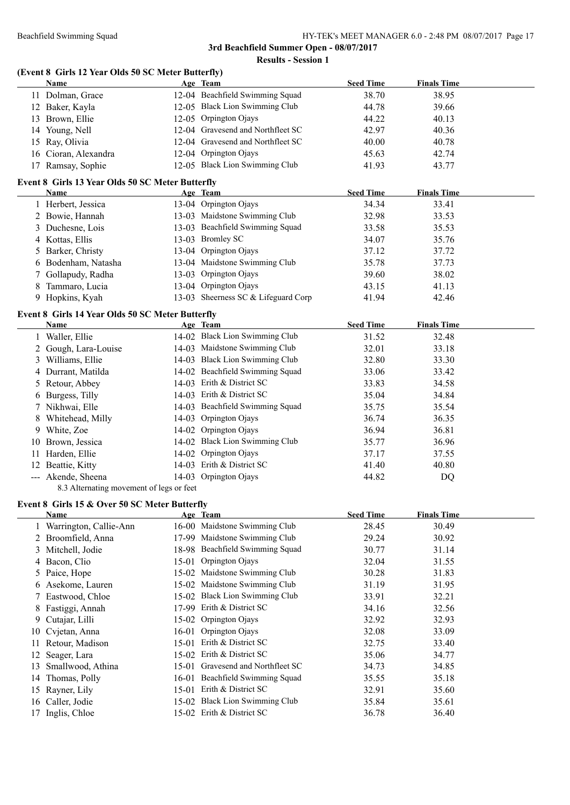|     | (Event 8 Girls 12 Year Olds 50 SC Meter Butterfly)<br>Name | Age Team                                  | <b>Seed Time</b> | <b>Finals Time</b> |
|-----|------------------------------------------------------------|-------------------------------------------|------------------|--------------------|
|     | 11 Dolman, Grace                                           | 12-04 Beachfield Swimming Squad           | 38.70            | 38.95              |
|     | 12 Baker, Kayla                                            | 12-05 Black Lion Swimming Club            | 44.78            | 39.66              |
|     | 13 Brown, Ellie                                            | 12-05 Orpington Ojays                     | 44.22            | 40.13              |
|     | 14 Young, Nell                                             | 12-04 Gravesend and Northfleet SC         | 42.97            | 40.36              |
|     |                                                            | 12-04 Gravesend and Northfleet SC         |                  |                    |
|     | 15 Ray, Olivia                                             |                                           | 40.00            | 40.78              |
|     | 16 Cioran, Alexandra                                       | 12-04 Orpington Ojays                     | 45.63            | 42.74              |
|     | 17 Ramsay, Sophie                                          | 12-05 Black Lion Swimming Club            | 41.93            | 43.77              |
|     | Event 8 Girls 13 Year Olds 50 SC Meter Butterfly<br>Name   | Age Team                                  | <b>Seed Time</b> | <b>Finals Time</b> |
|     | 1 Herbert, Jessica                                         | 13-04 Orpington Ojays                     | 34.34            | 33.41              |
|     | 2 Bowie, Hannah                                            | 13-03 Maidstone Swimming Club             | 32.98            | 33.53              |
|     |                                                            | 13-03 Beachfield Swimming Squad           |                  |                    |
| 3   | Duchesne, Lois                                             |                                           | 33.58            | 35.53              |
| 4   | Kottas, Ellis                                              | 13-03 Bromley SC                          | 34.07            | 35.76              |
| 5   | Barker, Christy                                            | 13-04 Orpington Ojays                     | 37.12            | 37.72              |
|     | 6 Bodenham, Natasha                                        | 13-04 Maidstone Swimming Club             | 35.78            | 37.73              |
|     | Gollapudy, Radha                                           | 13-03 Orpington Ojays                     | 39.60            | 38.02              |
| 8   | Tammaro, Lucia                                             | 13-04 Orpington Ojays                     | 43.15            | 41.13              |
|     | 9 Hopkins, Kyah                                            | 13-03 Sheerness SC & Lifeguard Corp       | 41.94            | 42.46              |
|     | Event 8 Girls 14 Year Olds 50 SC Meter Butterfly           |                                           |                  |                    |
|     | <b>Name</b>                                                | Age Team                                  | <b>Seed Time</b> | <b>Finals Time</b> |
|     | 1 Waller, Ellie                                            | 14-02 Black Lion Swimming Club            | 31.52            | 32.48              |
|     | 2 Gough, Lara-Louise                                       | 14-03 Maidstone Swimming Club             | 32.01            | 33.18              |
| 3   | Williams, Ellie                                            | 14-03 Black Lion Swimming Club            | 32.80            | 33.30              |
| 4   | Durrant, Matilda                                           | 14-02 Beachfield Swimming Squad           | 33.06            | 33.42              |
| 5   | Retour, Abbey                                              | 14-03 Erith & District SC                 | 33.83            | 34.58              |
| 6   | Burgess, Tilly                                             | 14-03 Erith & District SC                 | 35.04            | 34.84              |
|     | 7 Nikhwai, Elle                                            | 14-03 Beachfield Swimming Squad           | 35.75            | 35.54              |
| 8   | Whitehead, Milly                                           | 14-03 Orpington Ojays                     | 36.74            | 36.35              |
|     | 9 White, Zoe                                               | 14-02 Orpington Ojays                     | 36.94            | 36.81              |
| 10. | Brown, Jessica                                             | 14-02 Black Lion Swimming Club            | 35.77            | 36.96              |
| 11  | Harden, Ellie                                              | 14-02 Orpington Ojays                     | 37.17            | 37.55              |
|     | 12 Beattie, Kitty                                          | 14-03 Erith & District SC                 | 41.40            | 40.80              |
|     | --- Akende, Sheena                                         | 14-03 Orpington Ojays                     | 44.82            | DQ                 |
|     | 8.3 Alternating movement of legs or feet                   |                                           |                  |                    |
|     | Event 8 Girls 15 & Over 50 SC Meter Butterfly              |                                           |                  |                    |
|     | Name                                                       | Age Team<br>16-00 Maidstone Swimming Club | <b>Seed Time</b> | <b>Finals Time</b> |
|     | 1 Warrington, Callie-Ann                                   |                                           | 28.45            | 30.49              |
|     | 2 Broomfield, Anna                                         | 17-99 Maidstone Swimming Club             | 29.24            | 30.92              |
| 3   | Mitchell, Jodie                                            | 18-98 Beachfield Swimming Squad           | 30.77            | 31.14              |
| 4   | Bacon, Clio                                                | 15-01 Orpington Ojays                     | 32.04            | 31.55              |
| 5   | Paice, Hope                                                | 15-02 Maidstone Swimming Club             | 30.28            | 31.83              |
| 6   | Asekome, Lauren                                            | 15-02 Maidstone Swimming Club             | 31.19            | 31.95              |
|     | Eastwood, Chloe                                            | 15-02 Black Lion Swimming Club            | 33.91            | 32.21              |
| 8   | Fastiggi, Annah                                            | 17-99 Erith & District SC                 | 34.16            | 32.56              |
| 9   | Cutajar, Lilli                                             | 15-02 Orpington Ojays                     | 32.92            | 32.93              |
| 10  | Cvjetan, Anna                                              | 16-01 Orpington Ojays                     | 32.08            | 33.09              |
| 11  | Retour, Madison                                            | 15-01 Erith & District SC                 | 32.75            | 33.40              |
| 12  | Seager, Lara                                               | 15-02 Erith & District SC                 | 35.06            | 34.77              |
| 13  | Smallwood, Athina                                          | 15-01 Gravesend and Northfleet SC         | 34.73            | 34.85              |
| 14  | Thomas, Polly                                              | 16-01 Beachfield Swimming Squad           | 35.55            | 35.18              |
| 15  | Rayner, Lily                                               | 15-01 Erith & District SC                 | 32.91            | 35.60              |
| 16  | Caller, Jodie                                              | 15-02 Black Lion Swimming Club            | 35.84            | 35.61              |
|     | 17 Inglis, Chloe                                           | 15-02 Erith & District SC                 | 36.78            | 36.40              |
|     |                                                            |                                           |                  |                    |